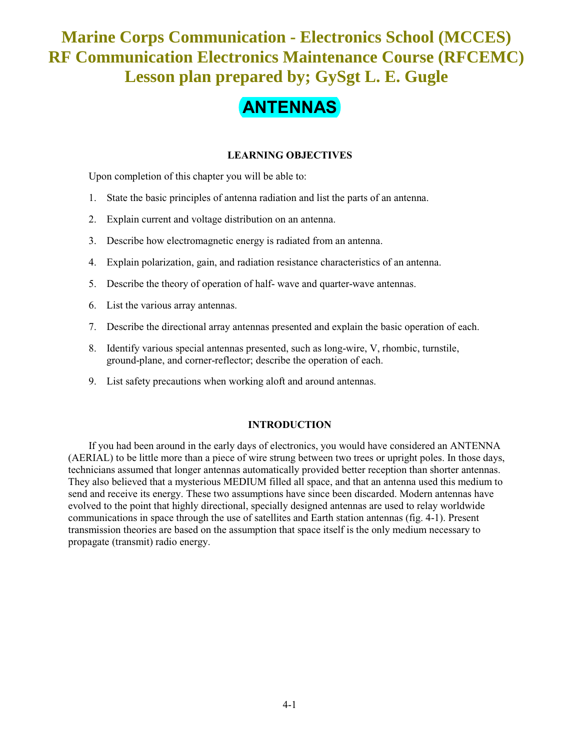Lesson plan prepared by; GySgt L. E. Gugle **Marine Corps Communication - Electronics School (MCCES) RF Communication Electronics Maintenance Course (RFCEMC)** 

# **ANTENNAS**

# **LEARNING OBJECTIVES**

Upon completion of this chapter you will be able to:

- 1. State the basic principles of antenna radiation and list the parts of an antenna.
- 2. Explain current and voltage distribution on an antenna.
- 3. Describe how electromagnetic energy is radiated from an antenna.
- 4. Explain polarization, gain, and radiation resistance characteristics of an antenna.
- 5. Describe the theory of operation of half- wave and quarter-wave antennas.
- 6. List the various array antennas.
- 7. Describe the directional array antennas presented and explain the basic operation of each.
- 8. Identify various special antennas presented, such as long-wire, V, rhombic, turnstile, ground-plane, and corner-reflector; describe the operation of each.
- 9. List safety precautions when working aloft and around antennas.

# **INTRODUCTION**

If you had been around in the early days of electronics, you would have considered an ANTENNA (AERIAL) to be little more than a piece of wire strung between two trees or upright poles. In those days, technicians assumed that longer antennas automatically provided better reception than shorter antennas. They also believed that a mysterious MEDIUM filled all space, and that an antenna used this medium to send and receive its energy. These two assumptions have since been discarded. Modern antennas have evolved to the point that highly directional, specially designed antennas are used to relay worldwide communications in space through the use of satellites and Earth station antennas (fig. 4-1). Present transmission theories are based on the assumption that space itself is the only medium necessary to propagate (transmit) radio energy.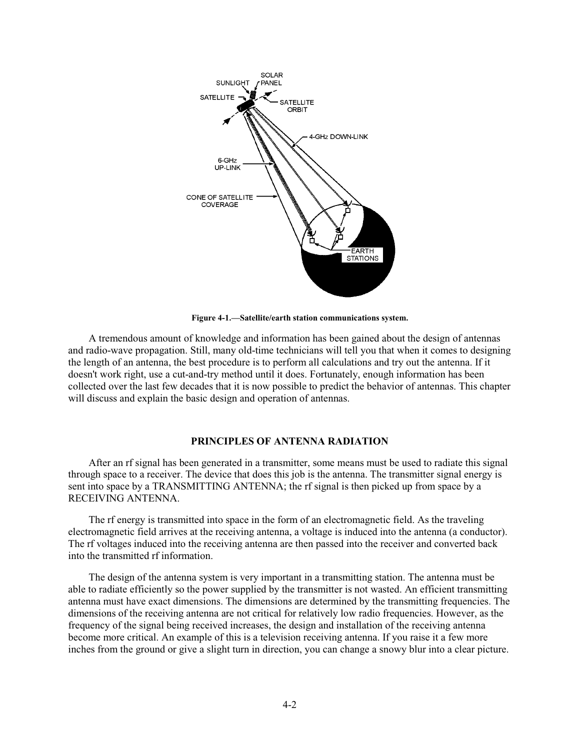

**Figure 4-1.—Satellite/earth station communications system.** 

A tremendous amount of knowledge and information has been gained about the design of antennas and radio-wave propagation. Still, many old-time technicians will tell you that when it comes to designing the length of an antenna, the best procedure is to perform all calculations and try out the antenna. If it doesn't work right, use a cut-and-try method until it does. Fortunately, enough information has been collected over the last few decades that it is now possible to predict the behavior of antennas. This chapter will discuss and explain the basic design and operation of antennas.

#### **PRINCIPLES OF ANTENNA RADIATION**

After an rf signal has been generated in a transmitter, some means must be used to radiate this signal through space to a receiver. The device that does this job is the antenna. The transmitter signal energy is sent into space by a TRANSMITTING ANTENNA; the rf signal is then picked up from space by a RECEIVING ANTENNA.

The rf energy is transmitted into space in the form of an electromagnetic field. As the traveling electromagnetic field arrives at the receiving antenna, a voltage is induced into the antenna (a conductor). The rf voltages induced into the receiving antenna are then passed into the receiver and converted back into the transmitted rf information.

The design of the antenna system is very important in a transmitting station. The antenna must be able to radiate efficiently so the power supplied by the transmitter is not wasted. An efficient transmitting antenna must have exact dimensions. The dimensions are determined by the transmitting frequencies. The dimensions of the receiving antenna are not critical for relatively low radio frequencies. However, as the frequency of the signal being received increases, the design and installation of the receiving antenna become more critical. An example of this is a television receiving antenna. If you raise it a few more inches from the ground or give a slight turn in direction, you can change a snowy blur into a clear picture.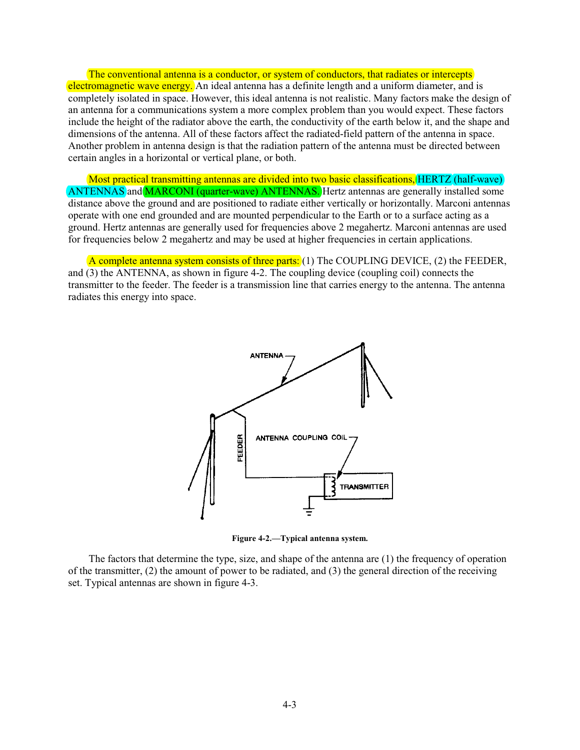The conventional antenna is a conductor, or system of conductors, that radiates or intercepts electromagnetic wave energy. An ideal antenna has a definite length and a uniform diameter, and is completely isolated in space. However, this ideal antenna is not realistic. Many factors make the design of an antenna for a communications system a more complex problem than you would expect. These factors include the height of the radiator above the earth, the conductivity of the earth below it, and the shape and dimensions of the antenna. All of these factors affect the radiated-field pattern of the antenna in space. Another problem in antenna design is that the radiation pattern of the antenna must be directed between certain angles in a horizontal or vertical plane, or both.

Most practical transmitting antennas are divided into two basic classifications, HERTZ (half-wave) (ANTENNAS) and (MARCONI) (quarter-wave) ANTENNAS. Hertz antennas are generally installed some distance above the ground and are positioned to radiate either vertically or horizontally. Marconi antennas operate with one end grounded and are mounted perpendicular to the Earth or to a surface acting as a ground. Hertz antennas are generally used for frequencies above 2 megahertz. Marconi antennas are used for frequencies below 2 megahertz and may be used at higher frequencies in certain applications.

A complete antenna system consists of three parts:  $(1)$  The COUPLING DEVICE, (2) the FEEDER, and (3) the ANTENNA, as shown in figure 4-2. The coupling device (coupling coil) connects the transmitter to the feeder. The feeder is a transmission line that carries energy to the antenna. The antenna radiates this energy into space.



**Figure 4-2.—Typical antenna system.** 

The factors that determine the type, size, and shape of the antenna are (1) the frequency of operation of the transmitter, (2) the amount of power to be radiated, and (3) the general direction of the receiving set. Typical antennas are shown in figure 4-3.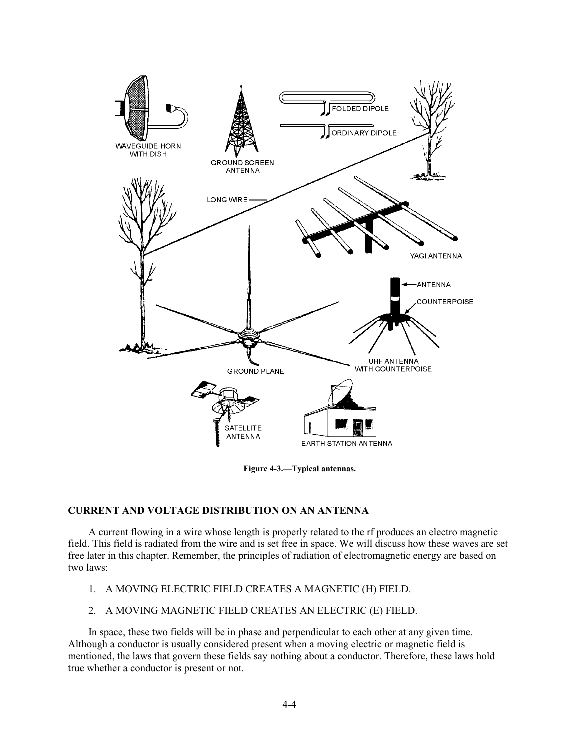

**Figure 4-3.—Typical antennas.** 

# **CURRENT AND VOLTAGE DISTRIBUTION ON AN ANTENNA**

A current flowing in a wire whose length is properly related to the rf produces an electro magnetic field. This field is radiated from the wire and is set free in space. We will discuss how these waves are set free later in this chapter. Remember, the principles of radiation of electromagnetic energy are based on two laws:

- 1. A MOVING ELECTRIC FIELD CREATES A MAGNETIC (H) FIELD.
- 2. A MOVING MAGNETIC FIELD CREATES AN ELECTRIC (E) FIELD.

In space, these two fields will be in phase and perpendicular to each other at any given time. Although a conductor is usually considered present when a moving electric or magnetic field is mentioned, the laws that govern these fields say nothing about a conductor. Therefore, these laws hold true whether a conductor is present or not.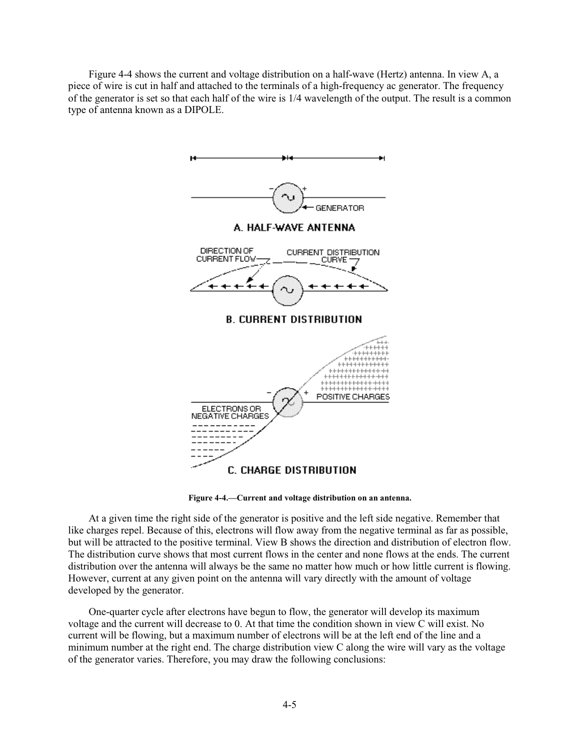Figure 4-4 shows the current and voltage distribution on a half-wave (Hertz) antenna. In view A, a piece of wire is cut in half and attached to the terminals of a high-frequency ac generator. The frequency of the generator is set so that each half of the wire is 1/4 wavelength of the output. The result is a common type of antenna known as a DIPOLE.



**Figure 4-4.—Current and voltage distribution on an antenna.** 

At a given time the right side of the generator is positive and the left side negative. Remember that like charges repel. Because of this, electrons will flow away from the negative terminal as far as possible, but will be attracted to the positive terminal. View B shows the direction and distribution of electron flow. The distribution curve shows that most current flows in the center and none flows at the ends. The current distribution over the antenna will always be the same no matter how much or how little current is flowing. However, current at any given point on the antenna will vary directly with the amount of voltage developed by the generator.

One-quarter cycle after electrons have begun to flow, the generator will develop its maximum voltage and the current will decrease to 0. At that time the condition shown in view C will exist. No current will be flowing, but a maximum number of electrons will be at the left end of the line and a minimum number at the right end. The charge distribution view C along the wire will vary as the voltage of the generator varies. Therefore, you may draw the following conclusions: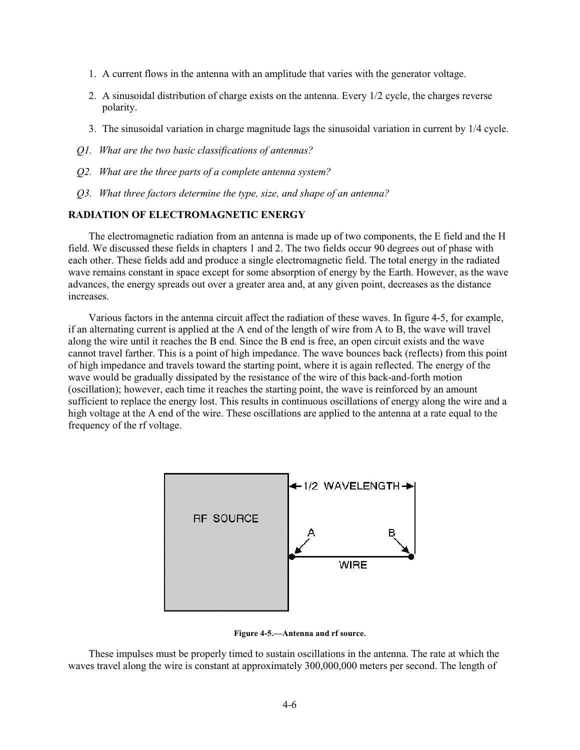- 1. A current flows in the antenna with an amplitude that varies with the generator voltage.
- 2. A sinusoidal distribution of charge exists on the antenna. Every 1/2 cycle, the charges reverse polarity.
- 3. The sinusoidal variation in charge magnitude lags the sinusoidal variation in current by 1/4 cycle.
- *Q1. What are the two basic classifications of antennas?*
- *Q2. What are the three parts of a complete antenna system?*
- *Q3. What three factors determine the type, size, and shape of an antenna?*

# **RADIATION OF ELECTROMAGNETIC ENERGY**

The electromagnetic radiation from an antenna is made up of two components, the E field and the H field. We discussed these fields in chapters 1 and 2. The two fields occur 90 degrees out of phase with each other. These fields add and produce a single electromagnetic field. The total energy in the radiated wave remains constant in space except for some absorption of energy by the Earth. However, as the wave advances, the energy spreads out over a greater area and, at any given point, decreases as the distance increases.

Various factors in the antenna circuit affect the radiation of these waves. In figure 4-5, for example, if an alternating current is applied at the A end of the length of wire from A to B, the wave will travel along the wire until it reaches the B end. Since the B end is free, an open circuit exists and the wave cannot travel farther. This is a point of high impedance. The wave bounces back (reflects) from this point of high impedance and travels toward the starting point, where it is again reflected. The energy of the wave would be gradually dissipated by the resistance of the wire of this back-and-forth motion (oscillation); however, each time it reaches the starting point, the wave is reinforced by an amount sufficient to replace the energy lost. This results in continuous oscillations of energy along the wire and a high voltage at the A end of the wire. These oscillations are applied to the antenna at a rate equal to the frequency of the rf voltage.



**Figure 4-5.—Antenna and rf source.** 

These impulses must be properly timed to sustain oscillations in the antenna. The rate at which the waves travel along the wire is constant at approximately 300,000,000 meters per second. The length of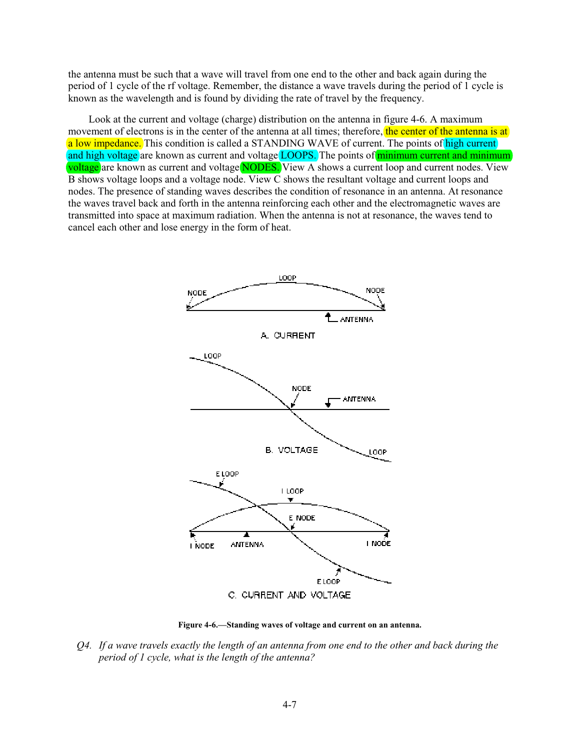the antenna must be such that a wave will travel from one end to the other and back again during the period of 1 cycle of the rf voltage. Remember, the distance a wave travels during the period of 1 cycle is known as the wavelength and is found by dividing the rate of travel by the frequency.

Look at the current and voltage (charge) distribution on the antenna in figure 4-6. A maximum movement of electrons is in the center of the antenna at all times; therefore, the center of the antenna is at a low impedance. This condition is called a STANDING WAVE of current. The points of high current and high voltage are known as current and voltage LOOPS. The points of minimum current and minimum (voltage) are known as current and voltage  $($  NODES.) View A shows a current loop and current nodes. View  $\overline{B}$  shows voltage loops and a voltage node. View  $\overline{C}$  shows the resultant voltage and current loops and nodes. The presence of standing waves describes the condition of resonance in an antenna. At resonance the waves travel back and forth in the antenna reinforcing each other and the electromagnetic waves are transmitted into space at maximum radiation. When the antenna is not at resonance, the waves tend to cancel each other and lose energy in the form of heat.



**Figure 4-6.—Standing waves of voltage and current on an antenna.** 

*Q4. If a wave travels exactly the length of an antenna from one end to the other and back during the period of 1 cycle, what is the length of the antenna?*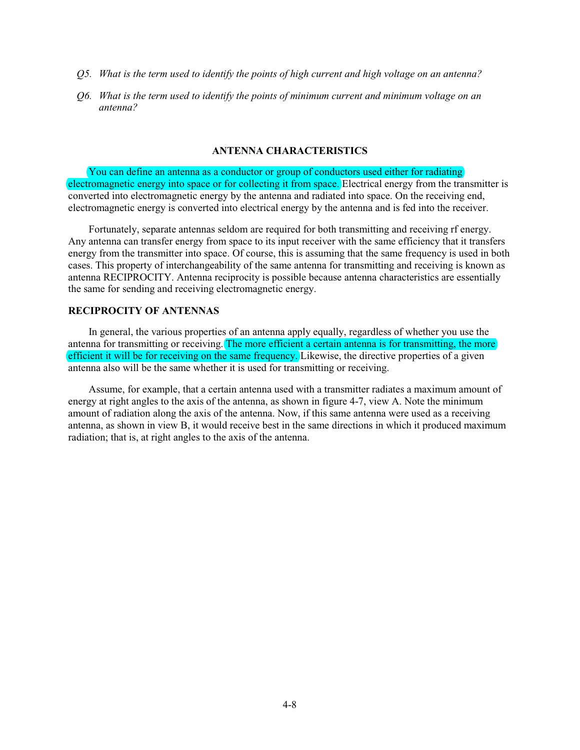- *Q5. What is the term used to identify the points of high current and high voltage on an antenna?*
- *Q6. What is the term used to identify the points of minimum current and minimum voltage on an antenna?*

# **ANTENNA CHARACTERISTICS**

You can define an antenna as a conductor or group of conductors used either for radiating electromagnetic energy into space or for collecting it from space. Electrical energy from the transmitter is converted into electromagnetic energy by the antenna and radiated into space. On the receiving end, electromagnetic energy is converted into electrical energy by the antenna and is fed into the receiver.

Fortunately, separate antennas seldom are required for both transmitting and receiving rf energy. Any antenna can transfer energy from space to its input receiver with the same efficiency that it transfers energy from the transmitter into space. Of course, this is assuming that the same frequency is used in both cases. This property of interchangeability of the same antenna for transmitting and receiving is known as antenna RECIPROCITY. Antenna reciprocity is possible because antenna characteristics are essentially the same for sending and receiving electromagnetic energy.

#### **RECIPROCITY OF ANTENNAS**

In general, the various properties of an antenna apply equally, regardless of whether you use the antenna for transmitting or receiving. The more efficient a certain antenna is for transmitting, the more efficient it will be for receiving on the same frequency. Likewise, the directive properties of a given antenna also will be the same whether it is used for transmitting or receiving.

Assume, for example, that a certain antenna used with a transmitter radiates a maximum amount of energy at right angles to the axis of the antenna, as shown in figure 4-7, view A. Note the minimum amount of radiation along the axis of the antenna. Now, if this same antenna were used as a receiving antenna, as shown in view B, it would receive best in the same directions in which it produced maximum radiation; that is, at right angles to the axis of the antenna.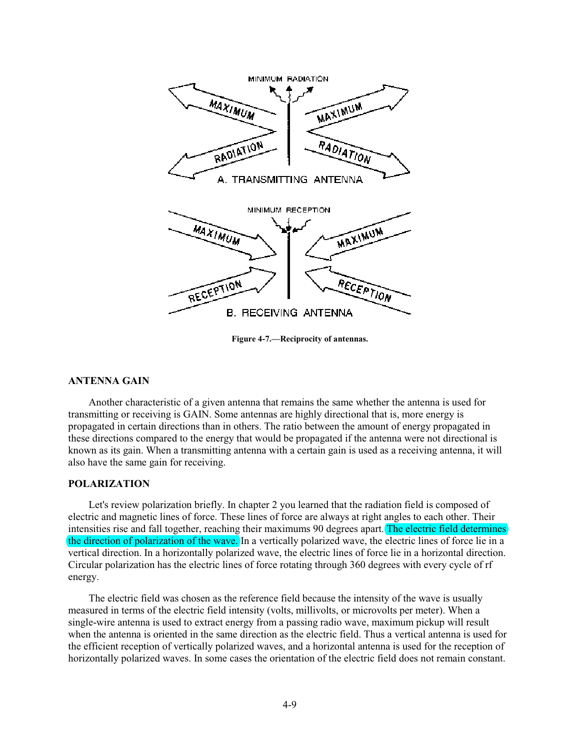

**Figure 4-7.—Reciprocity of antennas.** 

## **ANTENNA GAIN**

Another characteristic of a given antenna that remains the same whether the antenna is used for transmitting or receiving is GAIN. Some antennas are highly directional that is, more energy is propagated in certain directions than in others. The ratio between the amount of energy propagated in these directions compared to the energy that would be propagated if the antenna were not directional is known as its gain. When a transmitting antenna with a certain gain is used as a receiving antenna, it will also have the same gain for receiving.

## **POLARIZATION**

Let's review polarization briefly. In chapter 2 you learned that the radiation field is composed of electric and magnetic lines of force. These lines of force are always at right angles to each other. Their intensities rise and fall together, reaching their maximums 90 degrees apart. The electric field determines the direction of polarization of the wave. In a vertically polarized wave, the electric lines of force lie in a vertical direction. In a horizontally polarized wave, the electric lines of force lie in a horizontal direction. Circular polarization has the electric lines of force rotating through 360 degrees with every cycle of rf energy.

The electric field was chosen as the reference field because the intensity of the wave is usually measured in terms of the electric field intensity (volts, millivolts, or microvolts per meter). When a single-wire antenna is used to extract energy from a passing radio wave, maximum pickup will result when the antenna is oriented in the same direction as the electric field. Thus a vertical antenna is used for the efficient reception of vertically polarized waves, and a horizontal antenna is used for the reception of horizontally polarized waves. In some cases the orientation of the electric field does not remain constant.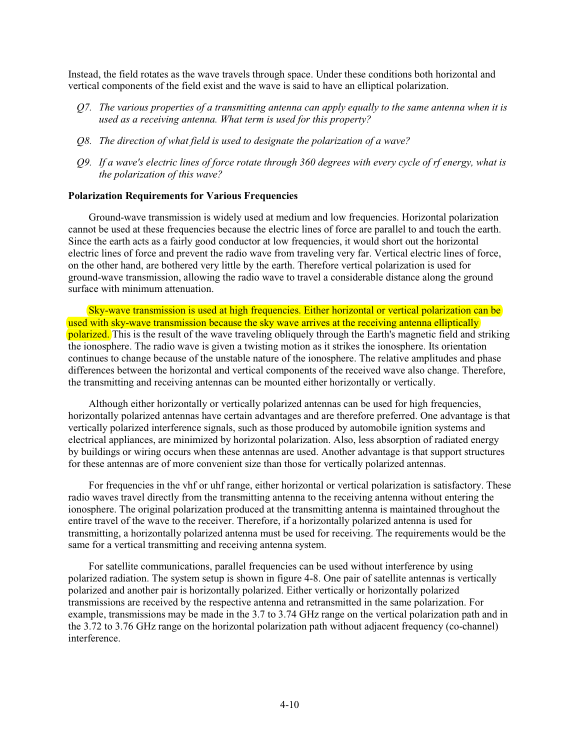Instead, the field rotates as the wave travels through space. Under these conditions both horizontal and vertical components of the field exist and the wave is said to have an elliptical polarization.

- *Q7. The various properties of a transmitting antenna can apply equally to the same antenna when it is used as a receiving antenna. What term is used for this property?*
- *Q8. The direction of what field is used to designate the polarization of a wave?*
- *Q9. If a wave's electric lines of force rotate through 360 degrees with every cycle of rf energy, what is the polarization of this wave?*

#### **Polarization Requirements for Various Frequencies**

Ground-wave transmission is widely used at medium and low frequencies. Horizontal polarization cannot be used at these frequencies because the electric lines of force are parallel to and touch the earth. Since the earth acts as a fairly good conductor at low frequencies, it would short out the horizontal electric lines of force and prevent the radio wave from traveling very far. Vertical electric lines of force, on the other hand, are bothered very little by the earth. Therefore vertical polarization is used for ground-wave transmission, allowing the radio wave to travel a considerable distance along the ground surface with minimum attenuation.

Sky-wave transmission is used at high frequencies. Either horizontal or vertical polarization can be used with sky-wave transmission because the sky wave arrives at the receiving antenna elliptically polarized. This is the result of the wave traveling obliquely through the Earth's magnetic field and striking the ionosphere. The radio wave is given a twisting motion as it strikes the ionosphere. Its orientation continues to change because of the unstable nature of the ionosphere. The relative amplitudes and phase differences between the horizontal and vertical components of the received wave also change. Therefore, the transmitting and receiving antennas can be mounted either horizontally or vertically.

Although either horizontally or vertically polarized antennas can be used for high frequencies, horizontally polarized antennas have certain advantages and are therefore preferred. One advantage is that vertically polarized interference signals, such as those produced by automobile ignition systems and electrical appliances, are minimized by horizontal polarization. Also, less absorption of radiated energy by buildings or wiring occurs when these antennas are used. Another advantage is that support structures for these antennas are of more convenient size than those for vertically polarized antennas.

For frequencies in the vhf or uhf range, either horizontal or vertical polarization is satisfactory. These radio waves travel directly from the transmitting antenna to the receiving antenna without entering the ionosphere. The original polarization produced at the transmitting antenna is maintained throughout the entire travel of the wave to the receiver. Therefore, if a horizontally polarized antenna is used for transmitting, a horizontally polarized antenna must be used for receiving. The requirements would be the same for a vertical transmitting and receiving antenna system.

For satellite communications, parallel frequencies can be used without interference by using polarized radiation. The system setup is shown in figure 4-8. One pair of satellite antennas is vertically polarized and another pair is horizontally polarized. Either vertically or horizontally polarized transmissions are received by the respective antenna and retransmitted in the same polarization. For example, transmissions may be made in the 3.7 to 3.74 GHz range on the vertical polarization path and in the 3.72 to 3.76 GHz range on the horizontal polarization path without adjacent frequency (co-channel) interference.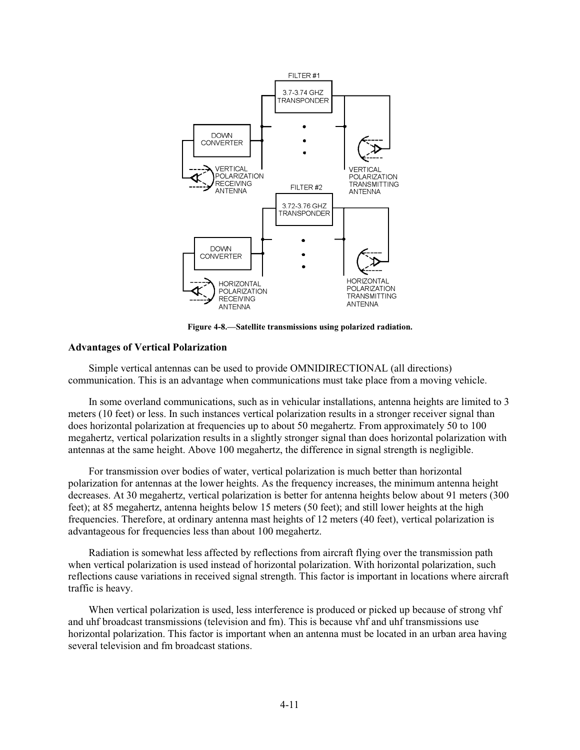

**Figure 4-8.—Satellite transmissions using polarized radiation.** 

#### **Advantages of Vertical Polarization**

Simple vertical antennas can be used to provide OMNIDIRECTIONAL (all directions) communication. This is an advantage when communications must take place from a moving vehicle.

In some overland communications, such as in vehicular installations, antenna heights are limited to 3 meters (10 feet) or less. In such instances vertical polarization results in a stronger receiver signal than does horizontal polarization at frequencies up to about 50 megahertz. From approximately 50 to 100 megahertz, vertical polarization results in a slightly stronger signal than does horizontal polarization with antennas at the same height. Above 100 megahertz, the difference in signal strength is negligible.

For transmission over bodies of water, vertical polarization is much better than horizontal polarization for antennas at the lower heights. As the frequency increases, the minimum antenna height decreases. At 30 megahertz, vertical polarization is better for antenna heights below about 91 meters (300 feet); at 85 megahertz, antenna heights below 15 meters (50 feet); and still lower heights at the high frequencies. Therefore, at ordinary antenna mast heights of 12 meters (40 feet), vertical polarization is advantageous for frequencies less than about 100 megahertz.

Radiation is somewhat less affected by reflections from aircraft flying over the transmission path when vertical polarization is used instead of horizontal polarization. With horizontal polarization, such reflections cause variations in received signal strength. This factor is important in locations where aircraft traffic is heavy.

When vertical polarization is used, less interference is produced or picked up because of strong vhf and uhf broadcast transmissions (television and fm). This is because vhf and uhf transmissions use horizontal polarization. This factor is important when an antenna must be located in an urban area having several television and fm broadcast stations.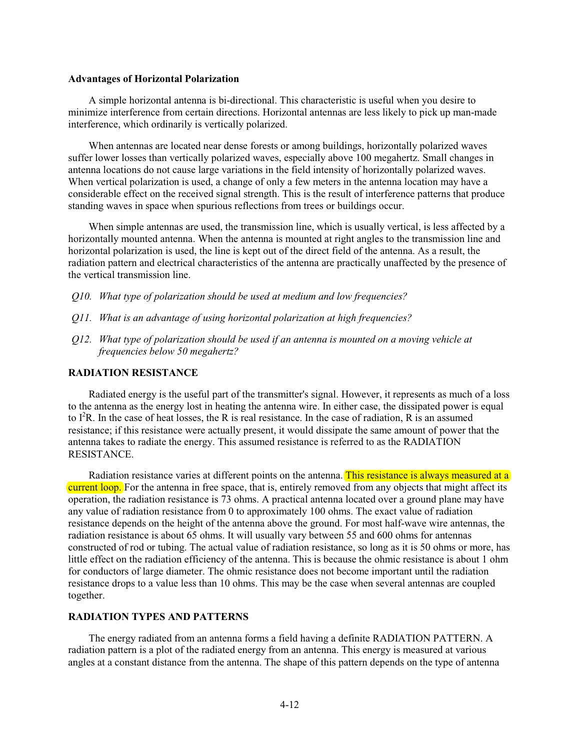#### **Advantages of Horizontal Polarization**

A simple horizontal antenna is bi-directional. This characteristic is useful when you desire to minimize interference from certain directions. Horizontal antennas are less likely to pick up man-made interference, which ordinarily is vertically polarized.

When antennas are located near dense forests or among buildings, horizontally polarized waves suffer lower losses than vertically polarized waves, especially above 100 megahertz. Small changes in antenna locations do not cause large variations in the field intensity of horizontally polarized waves. When vertical polarization is used, a change of only a few meters in the antenna location may have a considerable effect on the received signal strength. This is the result of interference patterns that produce standing waves in space when spurious reflections from trees or buildings occur.

When simple antennas are used, the transmission line, which is usually vertical, is less affected by a horizontally mounted antenna. When the antenna is mounted at right angles to the transmission line and horizontal polarization is used, the line is kept out of the direct field of the antenna. As a result, the radiation pattern and electrical characteristics of the antenna are practically unaffected by the presence of the vertical transmission line.

- *Q10. What type of polarization should be used at medium and low frequencies?*
- *Q11. What is an advantage of using horizontal polarization at high frequencies?*
- *Q12. What type of polarization should be used if an antenna is mounted on a moving vehicle at frequencies below 50 megahertz?*

# **RADIATION RESISTANCE**

Radiated energy is the useful part of the transmitter's signal. However, it represents as much of a loss to the antenna as the energy lost in heating the antenna wire. In either case, the dissipated power is equal to  $I^2R$ . In the case of heat losses, the R is real resistance. In the case of radiation, R is an assumed resistance; if this resistance were actually present, it would dissipate the same amount of power that the antenna takes to radiate the energy. This assumed resistance is referred to as the RADIATION RESISTANCE.

Radiation resistance varies at different points on the antenna. This resistance is always measured at a current loop. For the antenna in free space, that is, entirely removed from any objects that might affect its operation, the radiation resistance is 73 ohms. A practical antenna located over a ground plane may have any value of radiation resistance from 0 to approximately 100 ohms. The exact value of radiation resistance depends on the height of the antenna above the ground. For most half-wave wire antennas, the radiation resistance is about 65 ohms. It will usually vary between 55 and 600 ohms for antennas constructed of rod or tubing. The actual value of radiation resistance, so long as it is 50 ohms or more, has little effect on the radiation efficiency of the antenna. This is because the ohmic resistance is about 1 ohm for conductors of large diameter. The ohmic resistance does not become important until the radiation resistance drops to a value less than 10 ohms. This may be the case when several antennas are coupled together.

## **RADIATION TYPES AND PATTERNS**

The energy radiated from an antenna forms a field having a definite RADIATION PATTERN. A radiation pattern is a plot of the radiated energy from an antenna. This energy is measured at various angles at a constant distance from the antenna. The shape of this pattern depends on the type of antenna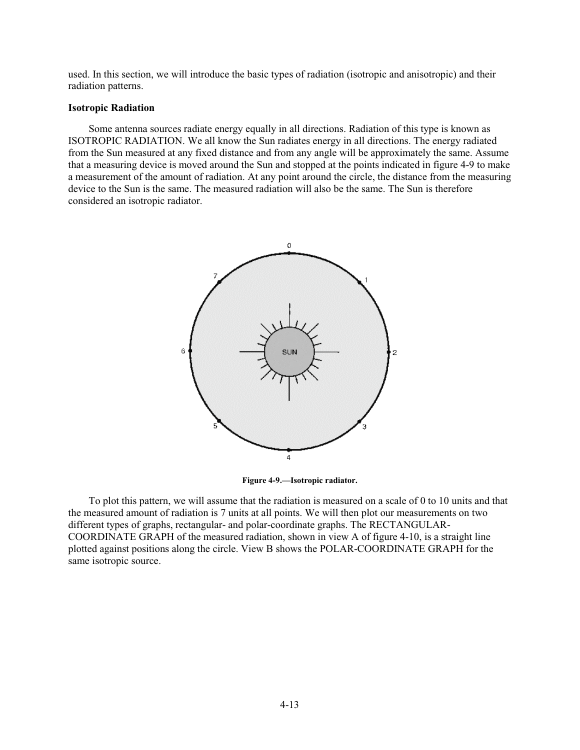used. In this section, we will introduce the basic types of radiation (isotropic and anisotropic) and their radiation patterns.

## **Isotropic Radiation**

Some antenna sources radiate energy equally in all directions. Radiation of this type is known as ISOTROPIC RADIATION. We all know the Sun radiates energy in all directions. The energy radiated from the Sun measured at any fixed distance and from any angle will be approximately the same. Assume that a measuring device is moved around the Sun and stopped at the points indicated in figure 4-9 to make a measurement of the amount of radiation. At any point around the circle, the distance from the measuring device to the Sun is the same. The measured radiation will also be the same. The Sun is therefore considered an isotropic radiator.



**Figure 4-9.—Isotropic radiator.** 

To plot this pattern, we will assume that the radiation is measured on a scale of 0 to 10 units and that the measured amount of radiation is 7 units at all points. We will then plot our measurements on two different types of graphs, rectangular- and polar-coordinate graphs. The RECTANGULAR-COORDINATE GRAPH of the measured radiation, shown in view A of figure 4-10, is a straight line plotted against positions along the circle. View B shows the POLAR-COORDINATE GRAPH for the same isotropic source.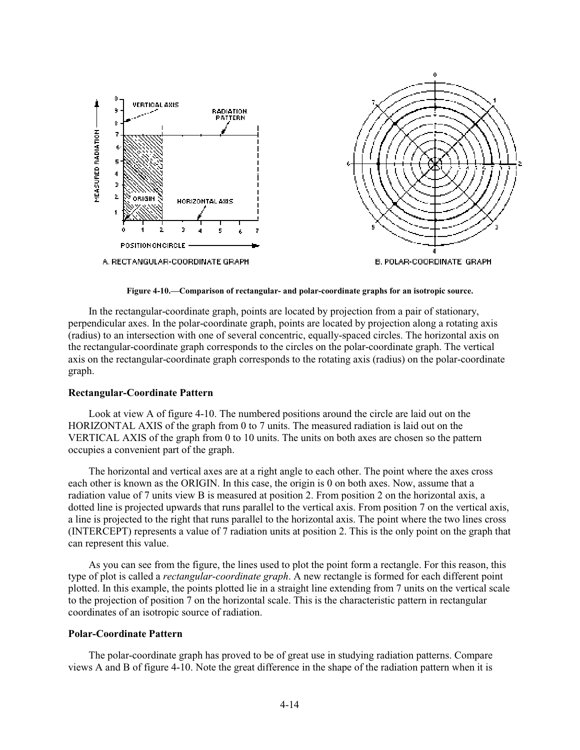

**Figure 4-10.—Comparison of rectangular- and polar-coordinate graphs for an isotropic source.** 

In the rectangular-coordinate graph, points are located by projection from a pair of stationary, perpendicular axes. In the polar-coordinate graph, points are located by projection along a rotating axis (radius) to an intersection with one of several concentric, equally-spaced circles. The horizontal axis on the rectangular-coordinate graph corresponds to the circles on the polar-coordinate graph. The vertical axis on the rectangular-coordinate graph corresponds to the rotating axis (radius) on the polar-coordinate graph.

#### **Rectangular-Coordinate Pattern**

Look at view A of figure 4-10. The numbered positions around the circle are laid out on the HORIZONTAL AXIS of the graph from 0 to 7 units. The measured radiation is laid out on the VERTICAL AXIS of the graph from 0 to 10 units. The units on both axes are chosen so the pattern occupies a convenient part of the graph.

The horizontal and vertical axes are at a right angle to each other. The point where the axes cross each other is known as the ORIGIN. In this case, the origin is 0 on both axes. Now, assume that a radiation value of 7 units view B is measured at position 2. From position 2 on the horizontal axis, a dotted line is projected upwards that runs parallel to the vertical axis. From position 7 on the vertical axis, a line is projected to the right that runs parallel to the horizontal axis. The point where the two lines cross (INTERCEPT) represents a value of 7 radiation units at position 2. This is the only point on the graph that can represent this value.

As you can see from the figure, the lines used to plot the point form a rectangle. For this reason, this type of plot is called a *rectangular-coordinate graph*. A new rectangle is formed for each different point plotted. In this example, the points plotted lie in a straight line extending from 7 units on the vertical scale to the projection of position 7 on the horizontal scale. This is the characteristic pattern in rectangular coordinates of an isotropic source of radiation.

#### **Polar-Coordinate Pattern**

The polar-coordinate graph has proved to be of great use in studying radiation patterns. Compare views A and B of figure 4-10. Note the great difference in the shape of the radiation pattern when it is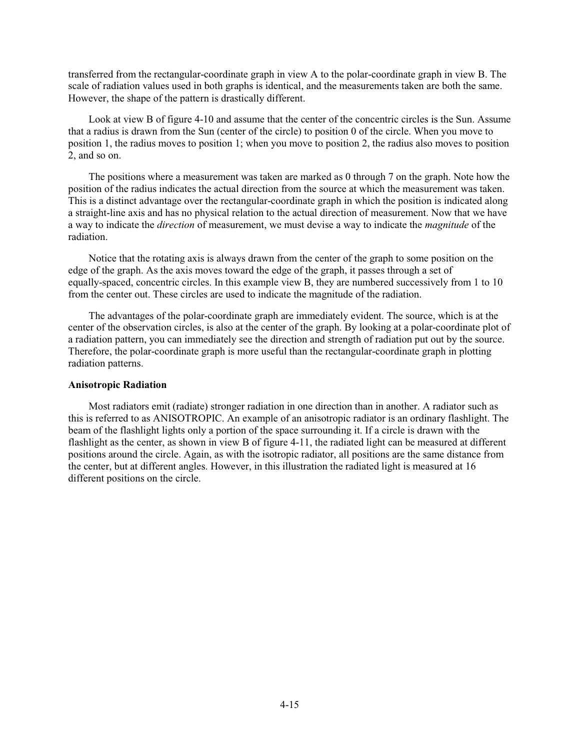transferred from the rectangular-coordinate graph in view A to the polar-coordinate graph in view B. The scale of radiation values used in both graphs is identical, and the measurements taken are both the same. However, the shape of the pattern is drastically different.

Look at view B of figure 4-10 and assume that the center of the concentric circles is the Sun. Assume that a radius is drawn from the Sun (center of the circle) to position 0 of the circle. When you move to position 1, the radius moves to position 1; when you move to position 2, the radius also moves to position 2, and so on.

The positions where a measurement was taken are marked as 0 through 7 on the graph. Note how the position of the radius indicates the actual direction from the source at which the measurement was taken. This is a distinct advantage over the rectangular-coordinate graph in which the position is indicated along a straight-line axis and has no physical relation to the actual direction of measurement. Now that we have a way to indicate the *direction* of measurement, we must devise a way to indicate the *magnitude* of the radiation.

Notice that the rotating axis is always drawn from the center of the graph to some position on the edge of the graph. As the axis moves toward the edge of the graph, it passes through a set of equally-spaced, concentric circles. In this example view B, they are numbered successively from 1 to 10 from the center out. These circles are used to indicate the magnitude of the radiation.

The advantages of the polar-coordinate graph are immediately evident. The source, which is at the center of the observation circles, is also at the center of the graph. By looking at a polar-coordinate plot of a radiation pattern, you can immediately see the direction and strength of radiation put out by the source. Therefore, the polar-coordinate graph is more useful than the rectangular-coordinate graph in plotting radiation patterns.

## **Anisotropic Radiation**

Most radiators emit (radiate) stronger radiation in one direction than in another. A radiator such as this is referred to as ANISOTROPIC. An example of an anisotropic radiator is an ordinary flashlight. The beam of the flashlight lights only a portion of the space surrounding it. If a circle is drawn with the flashlight as the center, as shown in view B of figure 4-11, the radiated light can be measured at different positions around the circle. Again, as with the isotropic radiator, all positions are the same distance from the center, but at different angles. However, in this illustration the radiated light is measured at 16 different positions on the circle.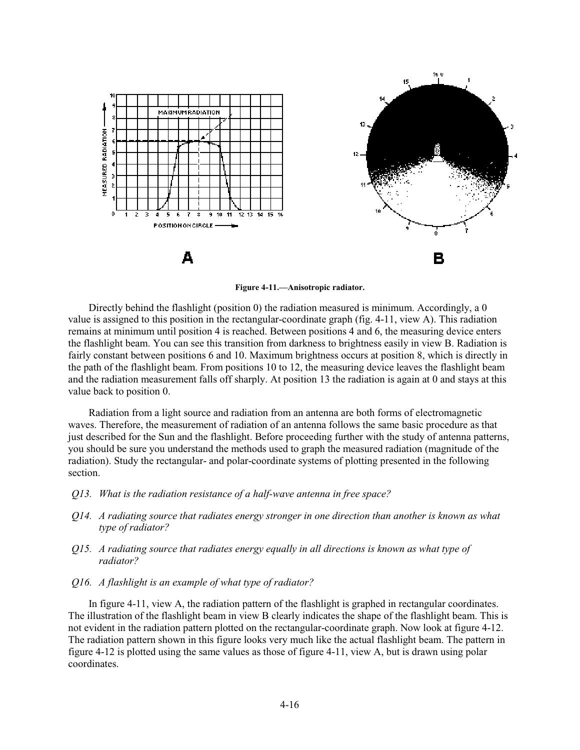

**Figure 4-11.—Anisotropic radiator.** 

Directly behind the flashlight (position 0) the radiation measured is minimum. Accordingly, a 0 value is assigned to this position in the rectangular-coordinate graph (fig. 4-11, view A). This radiation remains at minimum until position 4 is reached. Between positions 4 and 6, the measuring device enters the flashlight beam. You can see this transition from darkness to brightness easily in view B. Radiation is fairly constant between positions 6 and 10. Maximum brightness occurs at position 8, which is directly in the path of the flashlight beam. From positions 10 to 12, the measuring device leaves the flashlight beam and the radiation measurement falls off sharply. At position 13 the radiation is again at 0 and stays at this value back to position 0.

Radiation from a light source and radiation from an antenna are both forms of electromagnetic waves. Therefore, the measurement of radiation of an antenna follows the same basic procedure as that just described for the Sun and the flashlight. Before proceeding further with the study of antenna patterns, you should be sure you understand the methods used to graph the measured radiation (magnitude of the radiation). Study the rectangular- and polar-coordinate systems of plotting presented in the following section.

- *Q13. What is the radiation resistance of a half-wave antenna in free space?*
- *Q14. A radiating source that radiates energy stronger in one direction than another is known as what type of radiator?*
- *Q15. A radiating source that radiates energy equally in all directions is known as what type of radiator?*
- *Q16. A flashlight is an example of what type of radiator?*

In figure 4-11, view A, the radiation pattern of the flashlight is graphed in rectangular coordinates. The illustration of the flashlight beam in view B clearly indicates the shape of the flashlight beam. This is not evident in the radiation pattern plotted on the rectangular-coordinate graph. Now look at figure 4-12. The radiation pattern shown in this figure looks very much like the actual flashlight beam. The pattern in figure 4-12 is plotted using the same values as those of figure 4-11, view A, but is drawn using polar coordinates.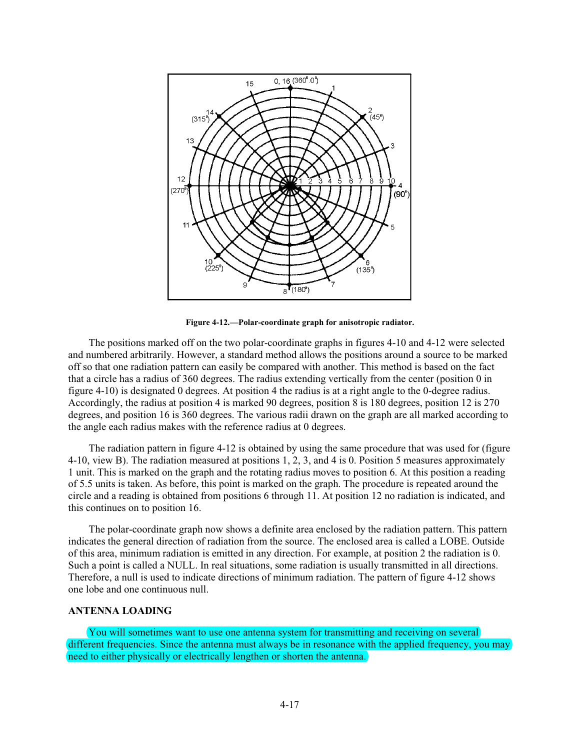

**Figure 4-12.—Polar-coordinate graph for anisotropic radiator.** 

The positions marked off on the two polar-coordinate graphs in figures 4-10 and 4-12 were selected and numbered arbitrarily. However, a standard method allows the positions around a source to be marked off so that one radiation pattern can easily be compared with another. This method is based on the fact that a circle has a radius of 360 degrees. The radius extending vertically from the center (position 0 in figure 4-10) is designated 0 degrees. At position 4 the radius is at a right angle to the 0-degree radius. Accordingly, the radius at position 4 is marked 90 degrees, position 8 is 180 degrees, position 12 is 270 degrees, and position 16 is 360 degrees. The various radii drawn on the graph are all marked according to the angle each radius makes with the reference radius at 0 degrees.

The radiation pattern in figure 4-12 is obtained by using the same procedure that was used for (figure 4-10, view B). The radiation measured at positions 1, 2, 3, and 4 is 0. Position 5 measures approximately 1 unit. This is marked on the graph and the rotating radius moves to position 6. At this position a reading of 5.5 units is taken. As before, this point is marked on the graph. The procedure is repeated around the circle and a reading is obtained from positions 6 through 11. At position 12 no radiation is indicated, and this continues on to position 16.

The polar-coordinate graph now shows a definite area enclosed by the radiation pattern. This pattern indicates the general direction of radiation from the source. The enclosed area is called a LOBE. Outside of this area, minimum radiation is emitted in any direction. For example, at position 2 the radiation is 0. Such a point is called a NULL. In real situations, some radiation is usually transmitted in all directions. Therefore, a null is used to indicate directions of minimum radiation. The pattern of figure 4-12 shows one lobe and one continuous null.

# **ANTENNA LOADING**

You will sometimes want to use one antenna system for transmitting and receiving on several different frequencies. Since the antenna must always be in resonance with the applied frequency, you may need to either physically or electrically lengthen or shorten the antenna.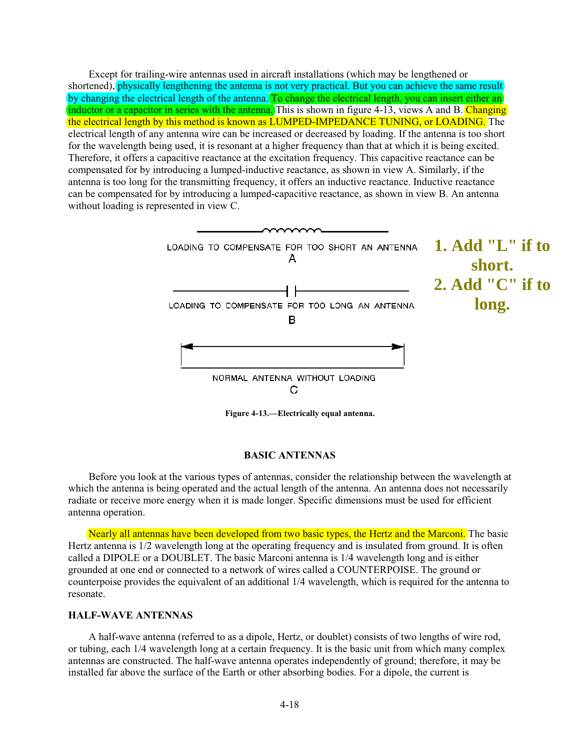Except for trailing-wire antennas used in aircraft installations (which may be lengthened or shortened), physically lengthening the antenna is not very practical. But you can achieve the same result by changing the electrical length of the antenna. To change the electrical length, you can insert either an inductor or a capacitor in series with the antenna. This is shown in figure 4-13, views A and B. Changing the electrical length by this method is known as LUMPED-IMPEDANCE TUNING, or LOADING. The electrical length of any antenna wire can be increased or decreased by loading. If the antenna is too short for the wavelength being used, it is resonant at a higher frequency than that at which it is being excited. Therefore, it offers a capacitive reactance at the excitation frequency. This capacitive reactance can be compensated for by introducing a lumped-inductive reactance, as shown in view A. Similarly, if the antenna is too long for the transmitting frequency, it offers an inductive reactance. Inductive reactance can be compensated for by introducing a lumped-capacitive reactance, as shown in view B. An antenna without loading is represented in view C.



**Figure 4-13.—Electrically equal antenna.** 

# **BASIC ANTENNAS**

Before you look at the various types of antennas, consider the relationship between the wavelength at which the antenna is being operated and the actual length of the antenna. An antenna does not necessarily radiate or receive more energy when it is made longer. Specific dimensions must be used for efficient antenna operation.

Nearly all antennas have been developed from two basic types, the Hertz and the Marconi. The basic Hertz antenna is 1/2 wavelength long at the operating frequency and is insulated from ground. It is often called a DIPOLE or a DOUBLET. The basic Marconi antenna is 1/4 wavelength long and is either grounded at one end or connected to a network of wires called a COUNTERPOISE. The ground or counterpoise provides the equivalent of an additional 1/4 wavelength, which is required for the antenna to resonate.

## **HALF-WAVE ANTENNAS**

A half-wave antenna (referred to as a dipole, Hertz, or doublet) consists of two lengths of wire rod, or tubing, each 1/4 wavelength long at a certain frequency. It is the basic unit from which many complex antennas are constructed. The half-wave antenna operates independently of ground; therefore, it may be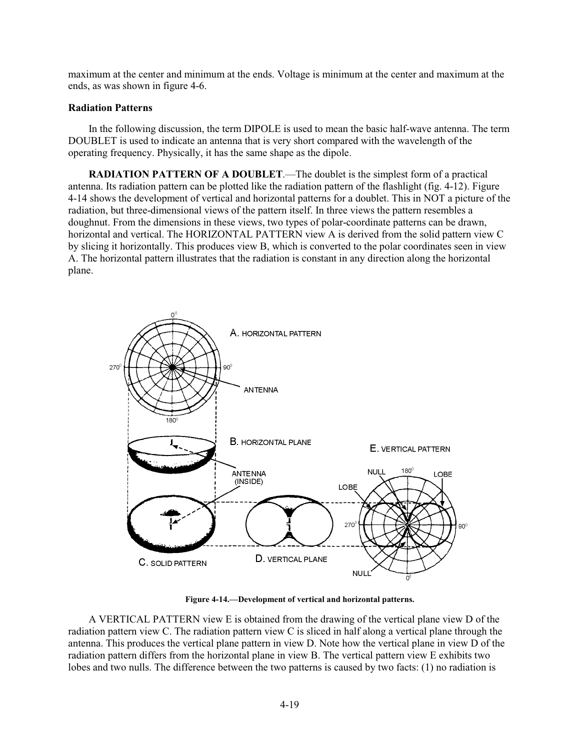maximum at the center and minimum at the ends. Voltage is minimum at the center and maximum at the ends, as was shown in figure 4-6.

## **Radiation Patterns**

In the following discussion, the term DIPOLE is used to mean the basic half-wave antenna. The term DOUBLET is used to indicate an antenna that is very short compared with the wavelength of the operating frequency. Physically, it has the same shape as the dipole.

**RADIATION PATTERN OF A DOUBLET**.—The doublet is the simplest form of a practical antenna. Its radiation pattern can be plotted like the radiation pattern of the flashlight (fig. 4-12). Figure 4-14 shows the development of vertical and horizontal patterns for a doublet. This in NOT a picture of the radiation, but three-dimensional views of the pattern itself. In three views the pattern resembles a doughnut. From the dimensions in these views, two types of polar-coordinate patterns can be drawn, horizontal and vertical. The HORIZONTAL PATTERN view A is derived from the solid pattern view C by slicing it horizontally. This produces view B, which is converted to the polar coordinates seen in view A. The horizontal pattern illustrates that the radiation is constant in any direction along the horizontal plane.



**Figure 4-14.—Development of vertical and horizontal patterns.** 

A VERTICAL PATTERN view E is obtained from the drawing of the vertical plane view D of the radiation pattern view C. The radiation pattern view C is sliced in half along a vertical plane through the antenna. This produces the vertical plane pattern in view D. Note how the vertical plane in view D of the radiation pattern differs from the horizontal plane in view B. The vertical pattern view E exhibits two lobes and two nulls. The difference between the two patterns is caused by two facts: (1) no radiation is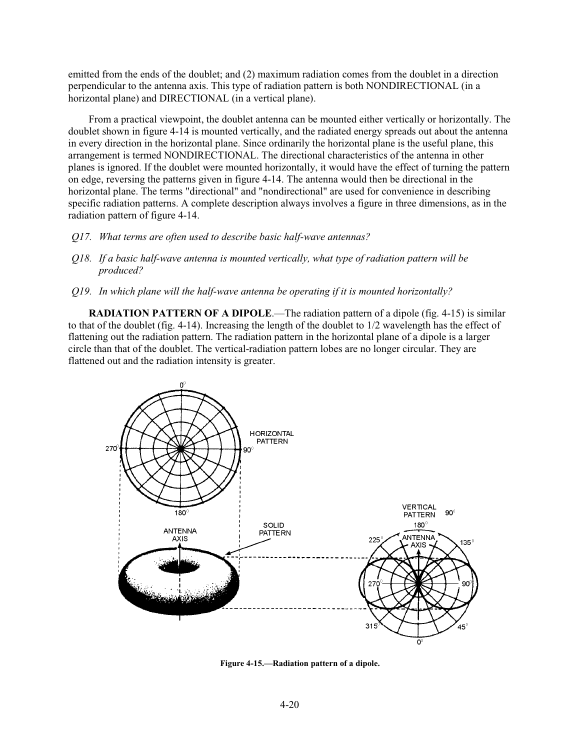emitted from the ends of the doublet; and (2) maximum radiation comes from the doublet in a direction perpendicular to the antenna axis. This type of radiation pattern is both NONDIRECTIONAL (in a horizontal plane) and DIRECTIONAL (in a vertical plane).

From a practical viewpoint, the doublet antenna can be mounted either vertically or horizontally. The doublet shown in figure 4-14 is mounted vertically, and the radiated energy spreads out about the antenna in every direction in the horizontal plane. Since ordinarily the horizontal plane is the useful plane, this arrangement is termed NONDIRECTIONAL. The directional characteristics of the antenna in other planes is ignored. If the doublet were mounted horizontally, it would have the effect of turning the pattern on edge, reversing the patterns given in figure 4-14. The antenna would then be directional in the horizontal plane. The terms "directional" and "nondirectional" are used for convenience in describing specific radiation patterns. A complete description always involves a figure in three dimensions, as in the radiation pattern of figure 4-14.

- *Q17. What terms are often used to describe basic half-wave antennas?*
- *Q18. If a basic half-wave antenna is mounted vertically, what type of radiation pattern will be produced?*
- *Q19. In which plane will the half-wave antenna be operating if it is mounted horizontally?*

**RADIATION PATTERN OF A DIPOLE**.—The radiation pattern of a dipole (fig. 4-15) is similar to that of the doublet (fig. 4-14). Increasing the length of the doublet to 1/2 wavelength has the effect of flattening out the radiation pattern. The radiation pattern in the horizontal plane of a dipole is a larger circle than that of the doublet. The vertical-radiation pattern lobes are no longer circular. They are flattened out and the radiation intensity is greater.



**Figure 4-15.—Radiation pattern of a dipole.**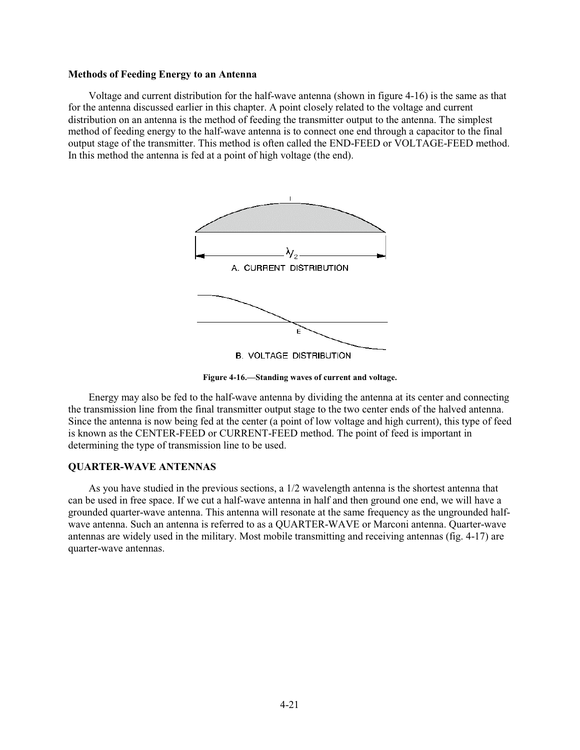#### **Methods of Feeding Energy to an Antenna**

Voltage and current distribution for the half-wave antenna (shown in figure 4-16) is the same as that for the antenna discussed earlier in this chapter. A point closely related to the voltage and current distribution on an antenna is the method of feeding the transmitter output to the antenna. The simplest method of feeding energy to the half-wave antenna is to connect one end through a capacitor to the final output stage of the transmitter. This method is often called the END-FEED or VOLTAGE-FEED method. In this method the antenna is fed at a point of high voltage (the end).



**Figure 4-16.—Standing waves of current and voltage.** 

Energy may also be fed to the half-wave antenna by dividing the antenna at its center and connecting the transmission line from the final transmitter output stage to the two center ends of the halved antenna. Since the antenna is now being fed at the center (a point of low voltage and high current), this type of feed is known as the CENTER-FEED or CURRENT-FEED method. The point of feed is important in determining the type of transmission line to be used.

## **QUARTER-WAVE ANTENNAS**

As you have studied in the previous sections, a 1/2 wavelength antenna is the shortest antenna that can be used in free space. If we cut a half-wave antenna in half and then ground one end, we will have a grounded quarter-wave antenna. This antenna will resonate at the same frequency as the ungrounded halfwave antenna. Such an antenna is referred to as a QUARTER-WAVE or Marconi antenna. Quarter-wave antennas are widely used in the military. Most mobile transmitting and receiving antennas (fig. 4-17) are quarter-wave antennas.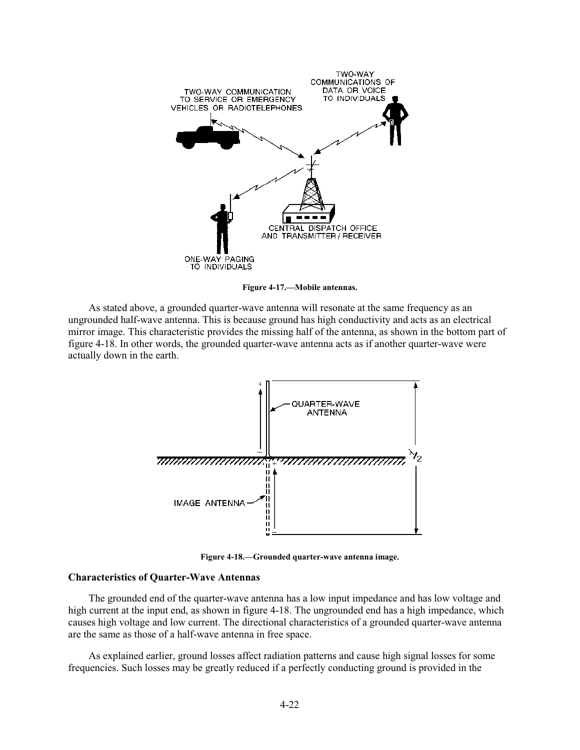

**Figure 4-17.—Mobile antennas.** 

As stated above, a grounded quarter-wave antenna will resonate at the same frequency as an ungrounded half-wave antenna. This is because ground has high conductivity and acts as an electrical mirror image. This characteristic provides the missing half of the antenna, as shown in the bottom part of figure 4-18. In other words, the grounded quarter-wave antenna acts as if another quarter-wave were actually down in the earth.



**Figure 4-18.—Grounded quarter-wave antenna image.** 

#### **Characteristics of Quarter-Wave Antennas**

The grounded end of the quarter-wave antenna has a low input impedance and has low voltage and high current at the input end, as shown in figure 4-18. The ungrounded end has a high impedance, which causes high voltage and low current. The directional characteristics of a grounded quarter-wave antenna are the same as those of a half-wave antenna in free space.

As explained earlier, ground losses affect radiation patterns and cause high signal losses for some frequencies. Such losses may be greatly reduced if a perfectly conducting ground is provided in the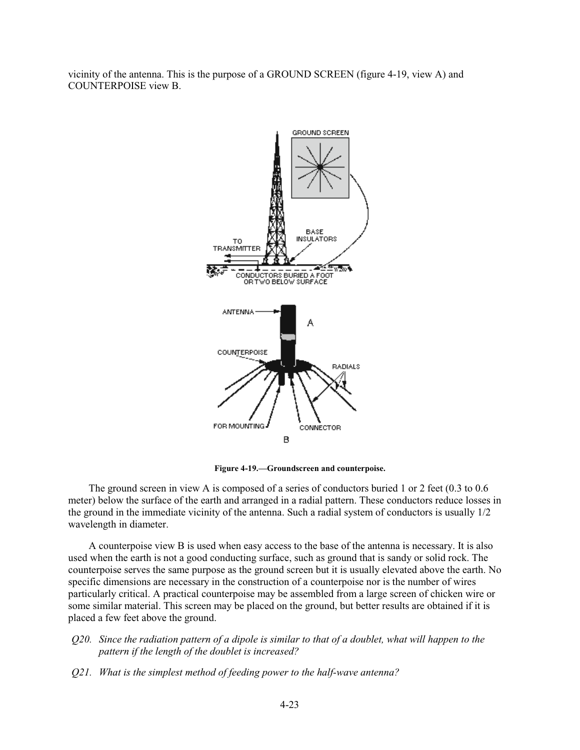vicinity of the antenna. This is the purpose of a GROUND SCREEN (figure 4-19, view A) and COUNTERPOISE view B.



**Figure 4-19.—Groundscreen and counterpoise.** 

The ground screen in view A is composed of a series of conductors buried 1 or 2 feet (0.3 to 0.6 meter) below the surface of the earth and arranged in a radial pattern. These conductors reduce losses in the ground in the immediate vicinity of the antenna. Such a radial system of conductors is usually 1/2 wavelength in diameter.

A counterpoise view B is used when easy access to the base of the antenna is necessary. It is also used when the earth is not a good conducting surface, such as ground that is sandy or solid rock. The counterpoise serves the same purpose as the ground screen but it is usually elevated above the earth. No specific dimensions are necessary in the construction of a counterpoise nor is the number of wires particularly critical. A practical counterpoise may be assembled from a large screen of chicken wire or some similar material. This screen may be placed on the ground, but better results are obtained if it is placed a few feet above the ground.

- *Q20. Since the radiation pattern of a dipole is similar to that of a doublet, what will happen to the pattern if the length of the doublet is increased?*
- *Q21. What is the simplest method of feeding power to the half-wave antenna?*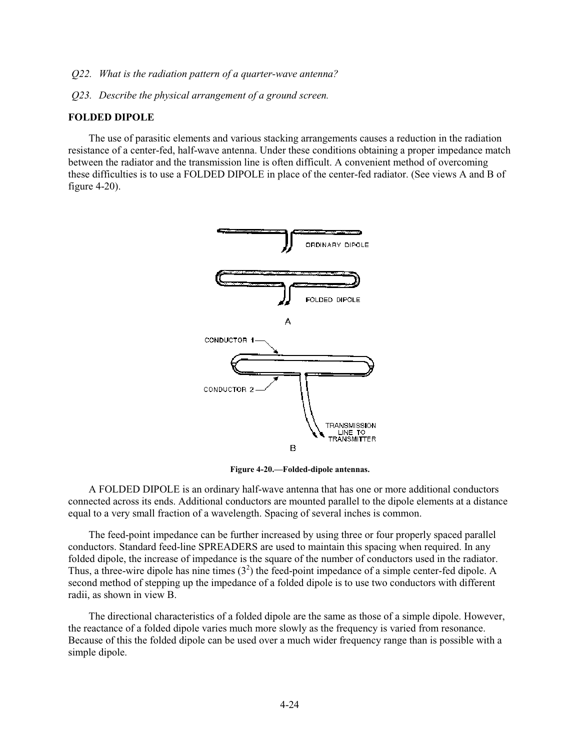*Q22. What is the radiation pattern of a quarter-wave antenna?* 

*Q23. Describe the physical arrangement of a ground screen.* 

## **FOLDED DIPOLE**

The use of parasitic elements and various stacking arrangements causes a reduction in the radiation resistance of a center-fed, half-wave antenna. Under these conditions obtaining a proper impedance match between the radiator and the transmission line is often difficult. A convenient method of overcoming these difficulties is to use a FOLDED DIPOLE in place of the center-fed radiator. (See views A and B of figure 4-20).



**Figure 4-20.—Folded-dipole antennas.** 

A FOLDED DIPOLE is an ordinary half-wave antenna that has one or more additional conductors connected across its ends. Additional conductors are mounted parallel to the dipole elements at a distance equal to a very small fraction of a wavelength. Spacing of several inches is common.

The feed-point impedance can be further increased by using three or four properly spaced parallel conductors. Standard feed-line SPREADERS are used to maintain this spacing when required. In any folded dipole, the increase of impedance is the square of the number of conductors used in the radiator. Thus, a three-wire dipole has nine times  $(3^2)$  the feed-point impedance of a simple center-fed dipole. A second method of stepping up the impedance of a folded dipole is to use two conductors with different radii, as shown in view B.

The directional characteristics of a folded dipole are the same as those of a simple dipole. However, the reactance of a folded dipole varies much more slowly as the frequency is varied from resonance. Because of this the folded dipole can be used over a much wider frequency range than is possible with a simple dipole.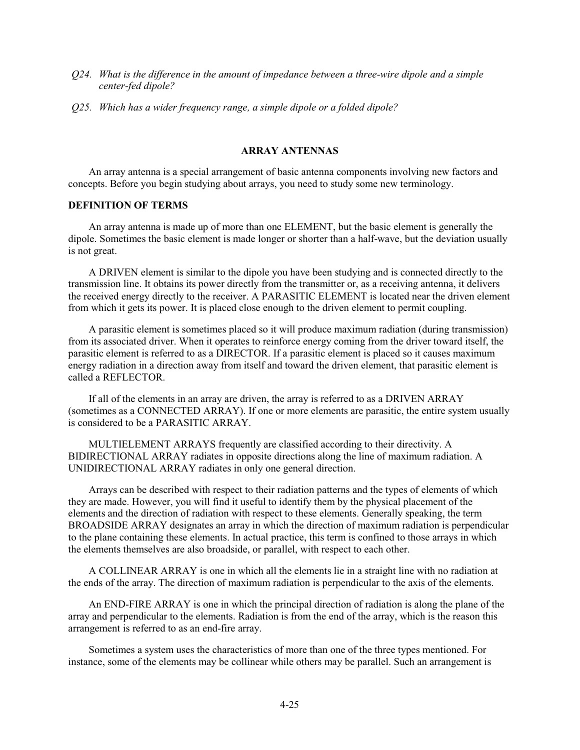- *Q24. What is the difference in the amount of impedance between a three-wire dipole and a simple center-fed dipole?*
- *Q25. Which has a wider frequency range, a simple dipole or a folded dipole?*

# **ARRAY ANTENNAS**

An array antenna is a special arrangement of basic antenna components involving new factors and concepts. Before you begin studying about arrays, you need to study some new terminology.

#### **DEFINITION OF TERMS**

An array antenna is made up of more than one ELEMENT, but the basic element is generally the dipole. Sometimes the basic element is made longer or shorter than a half-wave, but the deviation usually is not great.

A DRIVEN element is similar to the dipole you have been studying and is connected directly to the transmission line. It obtains its power directly from the transmitter or, as a receiving antenna, it delivers the received energy directly to the receiver. A PARASITIC ELEMENT is located near the driven element from which it gets its power. It is placed close enough to the driven element to permit coupling.

A parasitic element is sometimes placed so it will produce maximum radiation (during transmission) from its associated driver. When it operates to reinforce energy coming from the driver toward itself, the parasitic element is referred to as a DIRECTOR. If a parasitic element is placed so it causes maximum energy radiation in a direction away from itself and toward the driven element, that parasitic element is called a REFLECTOR.

If all of the elements in an array are driven, the array is referred to as a DRIVEN ARRAY (sometimes as a CONNECTED ARRAY). If one or more elements are parasitic, the entire system usually is considered to be a PARASITIC ARRAY.

MULTIELEMENT ARRAYS frequently are classified according to their directivity. A BIDIRECTIONAL ARRAY radiates in opposite directions along the line of maximum radiation. A UNIDIRECTIONAL ARRAY radiates in only one general direction.

Arrays can be described with respect to their radiation patterns and the types of elements of which they are made. However, you will find it useful to identify them by the physical placement of the elements and the direction of radiation with respect to these elements. Generally speaking, the term BROADSIDE ARRAY designates an array in which the direction of maximum radiation is perpendicular to the plane containing these elements. In actual practice, this term is confined to those arrays in which the elements themselves are also broadside, or parallel, with respect to each other.

A COLLINEAR ARRAY is one in which all the elements lie in a straight line with no radiation at the ends of the array. The direction of maximum radiation is perpendicular to the axis of the elements.

An END-FIRE ARRAY is one in which the principal direction of radiation is along the plane of the array and perpendicular to the elements. Radiation is from the end of the array, which is the reason this arrangement is referred to as an end-fire array.

Sometimes a system uses the characteristics of more than one of the three types mentioned. For instance, some of the elements may be collinear while others may be parallel. Such an arrangement is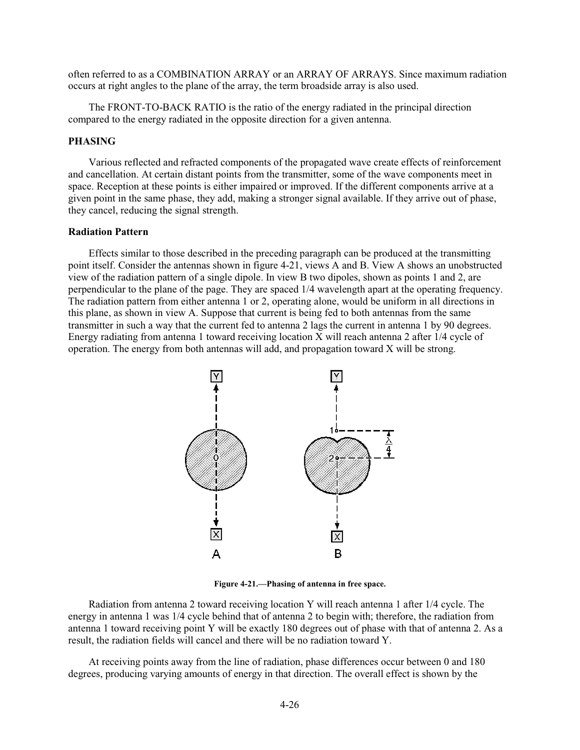often referred to as a COMBINATION ARRAY or an ARRAY OF ARRAYS. Since maximum radiation occurs at right angles to the plane of the array, the term broadside array is also used.

The FRONT-TO-BACK RATIO is the ratio of the energy radiated in the principal direction compared to the energy radiated in the opposite direction for a given antenna.

# **PHASING**

Various reflected and refracted components of the propagated wave create effects of reinforcement and cancellation. At certain distant points from the transmitter, some of the wave components meet in space. Reception at these points is either impaired or improved. If the different components arrive at a given point in the same phase, they add, making a stronger signal available. If they arrive out of phase, they cancel, reducing the signal strength.

## **Radiation Pattern**

Effects similar to those described in the preceding paragraph can be produced at the transmitting point itself. Consider the antennas shown in figure 4-21, views A and B. View A shows an unobstructed view of the radiation pattern of a single dipole. In view B two dipoles, shown as points 1 and 2, are perpendicular to the plane of the page. They are spaced 1/4 wavelength apart at the operating frequency. The radiation pattern from either antenna 1 or 2, operating alone, would be uniform in all directions in this plane, as shown in view A. Suppose that current is being fed to both antennas from the same transmitter in such a way that the current fed to antenna 2 lags the current in antenna 1 by 90 degrees. Energy radiating from antenna 1 toward receiving location X will reach antenna 2 after 1/4 cycle of operation. The energy from both antennas will add, and propagation toward X will be strong.



**Figure 4-21.—Phasing of antenna in free space.** 

Radiation from antenna 2 toward receiving location Y will reach antenna 1 after 1/4 cycle. The energy in antenna 1 was 1/4 cycle behind that of antenna 2 to begin with; therefore, the radiation from antenna 1 toward receiving point Y will be exactly 180 degrees out of phase with that of antenna 2. As a result, the radiation fields will cancel and there will be no radiation toward Y.

At receiving points away from the line of radiation, phase differences occur between 0 and 180 degrees, producing varying amounts of energy in that direction. The overall effect is shown by the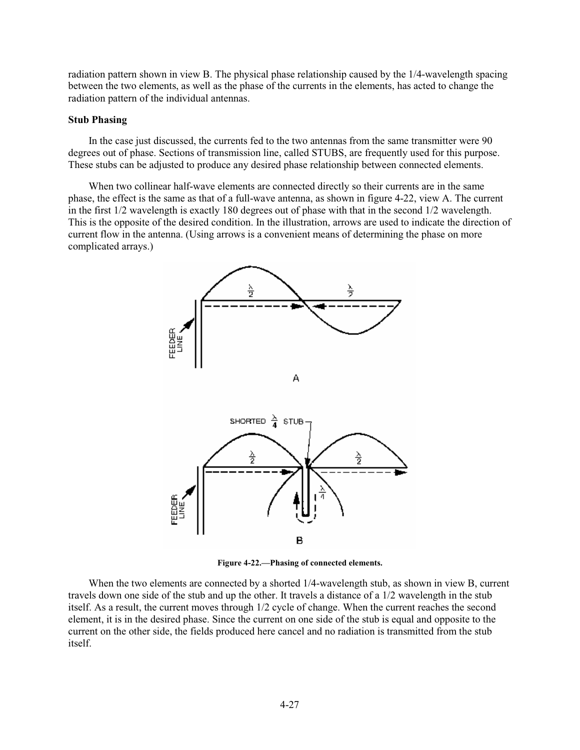radiation pattern shown in view B. The physical phase relationship caused by the 1/4-wavelength spacing between the two elements, as well as the phase of the currents in the elements, has acted to change the radiation pattern of the individual antennas.

## **Stub Phasing**

In the case just discussed, the currents fed to the two antennas from the same transmitter were 90 degrees out of phase. Sections of transmission line, called STUBS, are frequently used for this purpose. These stubs can be adjusted to produce any desired phase relationship between connected elements.

When two collinear half-wave elements are connected directly so their currents are in the same phase, the effect is the same as that of a full-wave antenna, as shown in figure 4-22, view A. The current in the first 1/2 wavelength is exactly 180 degrees out of phase with that in the second 1/2 wavelength. This is the opposite of the desired condition. In the illustration, arrows are used to indicate the direction of current flow in the antenna. (Using arrows is a convenient means of determining the phase on more complicated arrays.)



**Figure 4-22.—Phasing of connected elements.** 

When the two elements are connected by a shorted 1/4-wavelength stub, as shown in view B, current travels down one side of the stub and up the other. It travels a distance of a 1/2 wavelength in the stub itself. As a result, the current moves through 1/2 cycle of change. When the current reaches the second element, it is in the desired phase. Since the current on one side of the stub is equal and opposite to the current on the other side, the fields produced here cancel and no radiation is transmitted from the stub itself.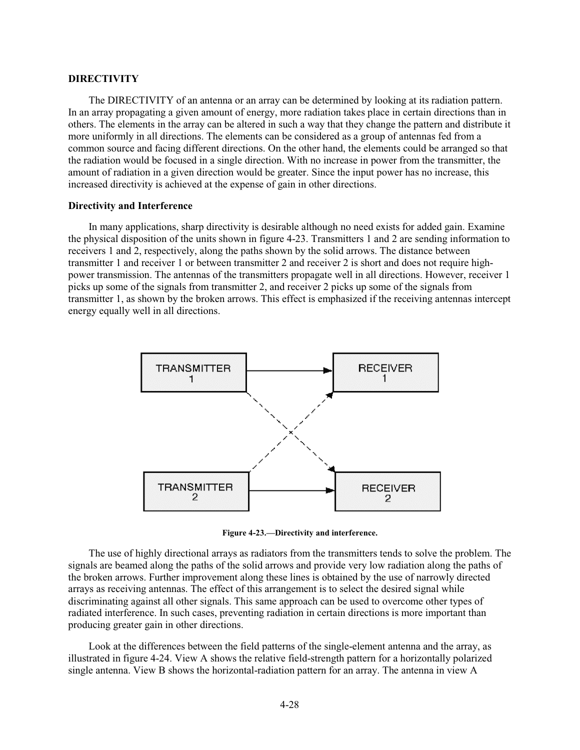## **DIRECTIVITY**

The DIRECTIVITY of an antenna or an array can be determined by looking at its radiation pattern. In an array propagating a given amount of energy, more radiation takes place in certain directions than in others. The elements in the array can be altered in such a way that they change the pattern and distribute it more uniformly in all directions. The elements can be considered as a group of antennas fed from a common source and facing different directions. On the other hand, the elements could be arranged so that the radiation would be focused in a single direction. With no increase in power from the transmitter, the amount of radiation in a given direction would be greater. Since the input power has no increase, this increased directivity is achieved at the expense of gain in other directions.

#### **Directivity and Interference**

In many applications, sharp directivity is desirable although no need exists for added gain. Examine the physical disposition of the units shown in figure 4-23. Transmitters 1 and 2 are sending information to receivers 1 and 2, respectively, along the paths shown by the solid arrows. The distance between transmitter 1 and receiver 1 or between transmitter 2 and receiver 2 is short and does not require highpower transmission. The antennas of the transmitters propagate well in all directions. However, receiver 1 picks up some of the signals from transmitter 2, and receiver 2 picks up some of the signals from transmitter 1, as shown by the broken arrows. This effect is emphasized if the receiving antennas intercept energy equally well in all directions.



**Figure 4-23.—Directivity and interference.** 

The use of highly directional arrays as radiators from the transmitters tends to solve the problem. The signals are beamed along the paths of the solid arrows and provide very low radiation along the paths of the broken arrows. Further improvement along these lines is obtained by the use of narrowly directed arrays as receiving antennas. The effect of this arrangement is to select the desired signal while discriminating against all other signals. This same approach can be used to overcome other types of radiated interference. In such cases, preventing radiation in certain directions is more important than producing greater gain in other directions.

Look at the differences between the field patterns of the single-element antenna and the array, as illustrated in figure 4-24. View A shows the relative field-strength pattern for a horizontally polarized single antenna. View B shows the horizontal-radiation pattern for an array. The antenna in view A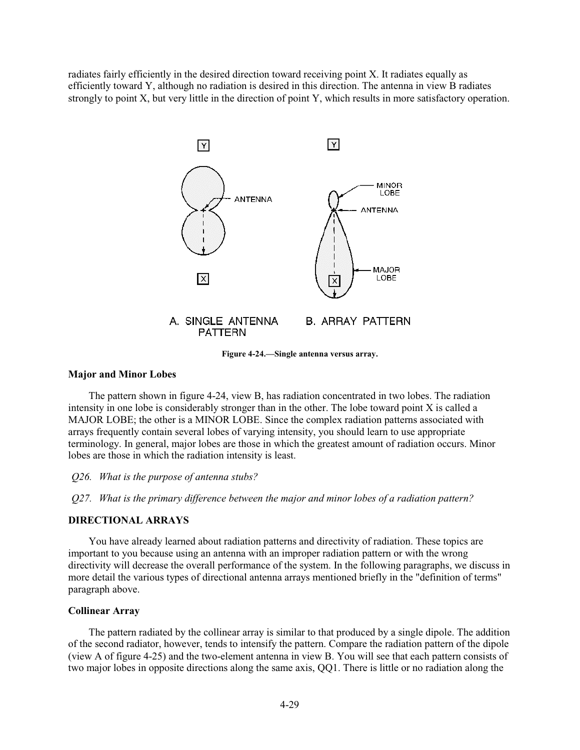radiates fairly efficiently in the desired direction toward receiving point X. It radiates equally as efficiently toward Y, although no radiation is desired in this direction. The antenna in view B radiates strongly to point X, but very little in the direction of point Y, which results in more satisfactory operation.



**Figure 4-24.—Single antenna versus array.** 

## **Major and Minor Lobes**

The pattern shown in figure 4-24, view B, has radiation concentrated in two lobes. The radiation intensity in one lobe is considerably stronger than in the other. The lobe toward point X is called a MAJOR LOBE; the other is a MINOR LOBE. Since the complex radiation patterns associated with arrays frequently contain several lobes of varying intensity, you should learn to use appropriate terminology. In general, major lobes are those in which the greatest amount of radiation occurs. Minor lobes are those in which the radiation intensity is least.

*Q26. What is the purpose of antenna stubs?* 

*Q27. What is the primary difference between the major and minor lobes of a radiation pattern?* 

## **DIRECTIONAL ARRAYS**

You have already learned about radiation patterns and directivity of radiation. These topics are important to you because using an antenna with an improper radiation pattern or with the wrong directivity will decrease the overall performance of the system. In the following paragraphs, we discuss in more detail the various types of directional antenna arrays mentioned briefly in the "definition of terms" paragraph above.

## **Collinear Array**

The pattern radiated by the collinear array is similar to that produced by a single dipole. The addition of the second radiator, however, tends to intensify the pattern. Compare the radiation pattern of the dipole (view A of figure 4-25) and the two-element antenna in view B. You will see that each pattern consists of two major lobes in opposite directions along the same axis, QQ1. There is little or no radiation along the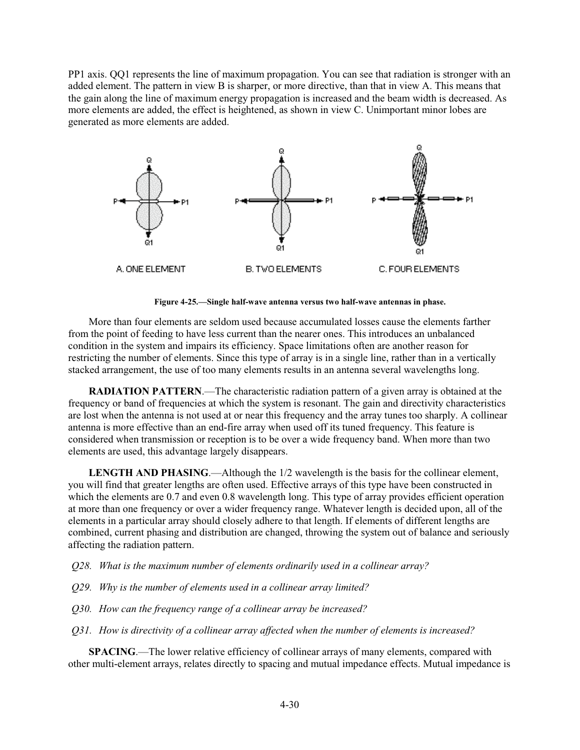PP1 axis. QQ1 represents the line of maximum propagation. You can see that radiation is stronger with an added element. The pattern in view B is sharper, or more directive, than that in view A. This means that the gain along the line of maximum energy propagation is increased and the beam width is decreased. As more elements are added, the effect is heightened, as shown in view C. Unimportant minor lobes are generated as more elements are added.



**Figure 4-25.—Single half-wave antenna versus two half-wave antennas in phase.** 

More than four elements are seldom used because accumulated losses cause the elements farther from the point of feeding to have less current than the nearer ones. This introduces an unbalanced condition in the system and impairs its efficiency. Space limitations often are another reason for restricting the number of elements. Since this type of array is in a single line, rather than in a vertically stacked arrangement, the use of too many elements results in an antenna several wavelengths long.

**RADIATION PATTERN**.—The characteristic radiation pattern of a given array is obtained at the frequency or band of frequencies at which the system is resonant. The gain and directivity characteristics are lost when the antenna is not used at or near this frequency and the array tunes too sharply. A collinear antenna is more effective than an end-fire array when used off its tuned frequency. This feature is considered when transmission or reception is to be over a wide frequency band. When more than two elements are used, this advantage largely disappears.

**LENGTH AND PHASING.—Although the 1/2 wavelength is the basis for the collinear element,** you will find that greater lengths are often used. Effective arrays of this type have been constructed in which the elements are 0.7 and even 0.8 wavelength long. This type of array provides efficient operation at more than one frequency or over a wider frequency range. Whatever length is decided upon, all of the elements in a particular array should closely adhere to that length. If elements of different lengths are combined, current phasing and distribution are changed, throwing the system out of balance and seriously affecting the radiation pattern.

- *Q28. What is the maximum number of elements ordinarily used in a collinear array?*
- *Q29. Why is the number of elements used in a collinear array limited?*
- *Q30. How can the frequency range of a collinear array be increased?*
- *Q31. How is directivity of a collinear array affected when the number of elements is increased?*

**SPACING**.—The lower relative efficiency of collinear arrays of many elements, compared with other multi-element arrays, relates directly to spacing and mutual impedance effects. Mutual impedance is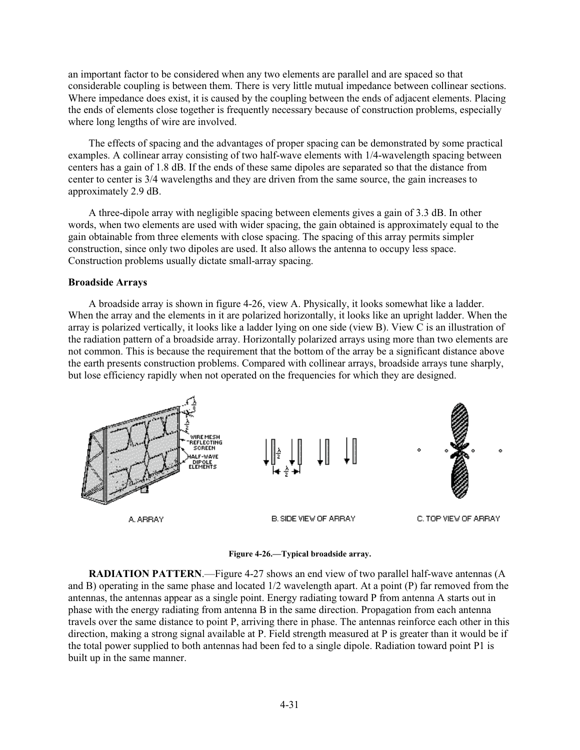an important factor to be considered when any two elements are parallel and are spaced so that considerable coupling is between them. There is very little mutual impedance between collinear sections. Where impedance does exist, it is caused by the coupling between the ends of adjacent elements. Placing the ends of elements close together is frequently necessary because of construction problems, especially where long lengths of wire are involved.

The effects of spacing and the advantages of proper spacing can be demonstrated by some practical examples. A collinear array consisting of two half-wave elements with 1/4-wavelength spacing between centers has a gain of 1.8 dB. If the ends of these same dipoles are separated so that the distance from center to center is 3/4 wavelengths and they are driven from the same source, the gain increases to approximately 2.9 dB.

A three-dipole array with negligible spacing between elements gives a gain of 3.3 dB. In other words, when two elements are used with wider spacing, the gain obtained is approximately equal to the gain obtainable from three elements with close spacing. The spacing of this array permits simpler construction, since only two dipoles are used. It also allows the antenna to occupy less space. Construction problems usually dictate small-array spacing.

#### **Broadside Arrays**

A broadside array is shown in figure 4-26, view A. Physically, it looks somewhat like a ladder. When the array and the elements in it are polarized horizontally, it looks like an upright ladder. When the array is polarized vertically, it looks like a ladder lying on one side (view B). View C is an illustration of the radiation pattern of a broadside array. Horizontally polarized arrays using more than two elements are not common. This is because the requirement that the bottom of the array be a significant distance above the earth presents construction problems. Compared with collinear arrays, broadside arrays tune sharply, but lose efficiency rapidly when not operated on the frequencies for which they are designed.



**Figure 4-26.—Typical broadside array.** 

**RADIATION PATTERN.**—Figure 4-27 shows an end view of two parallel half-wave antennas (A and B) operating in the same phase and located 1/2 wavelength apart. At a point (P) far removed from the antennas, the antennas appear as a single point. Energy radiating toward P from antenna A starts out in phase with the energy radiating from antenna B in the same direction. Propagation from each antenna travels over the same distance to point P, arriving there in phase. The antennas reinforce each other in this direction, making a strong signal available at P. Field strength measured at P is greater than it would be if the total power supplied to both antennas had been fed to a single dipole. Radiation toward point P1 is built up in the same manner.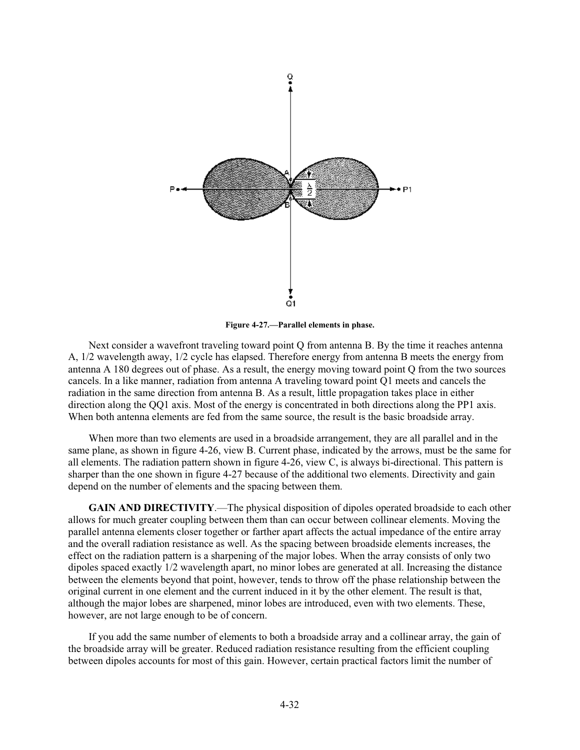

**Figure 4-27.—Parallel elements in phase.** 

Next consider a wavefront traveling toward point Q from antenna B. By the time it reaches antenna A, 1/2 wavelength away, 1/2 cycle has elapsed. Therefore energy from antenna B meets the energy from antenna A 180 degrees out of phase. As a result, the energy moving toward point Q from the two sources cancels. In a like manner, radiation from antenna A traveling toward point Q1 meets and cancels the radiation in the same direction from antenna B. As a result, little propagation takes place in either direction along the QQ1 axis. Most of the energy is concentrated in both directions along the PP1 axis. When both antenna elements are fed from the same source, the result is the basic broadside array.

When more than two elements are used in a broadside arrangement, they are all parallel and in the same plane, as shown in figure 4-26, view B. Current phase, indicated by the arrows, must be the same for all elements. The radiation pattern shown in figure 4-26, view C, is always bi-directional. This pattern is sharper than the one shown in figure 4-27 because of the additional two elements. Directivity and gain depend on the number of elements and the spacing between them.

**GAIN AND DIRECTIVITY**.—The physical disposition of dipoles operated broadside to each other allows for much greater coupling between them than can occur between collinear elements. Moving the parallel antenna elements closer together or farther apart affects the actual impedance of the entire array and the overall radiation resistance as well. As the spacing between broadside elements increases, the effect on the radiation pattern is a sharpening of the major lobes. When the array consists of only two dipoles spaced exactly 1/2 wavelength apart, no minor lobes are generated at all. Increasing the distance between the elements beyond that point, however, tends to throw off the phase relationship between the original current in one element and the current induced in it by the other element. The result is that, although the major lobes are sharpened, minor lobes are introduced, even with two elements. These, however, are not large enough to be of concern.

If you add the same number of elements to both a broadside array and a collinear array, the gain of the broadside array will be greater. Reduced radiation resistance resulting from the efficient coupling between dipoles accounts for most of this gain. However, certain practical factors limit the number of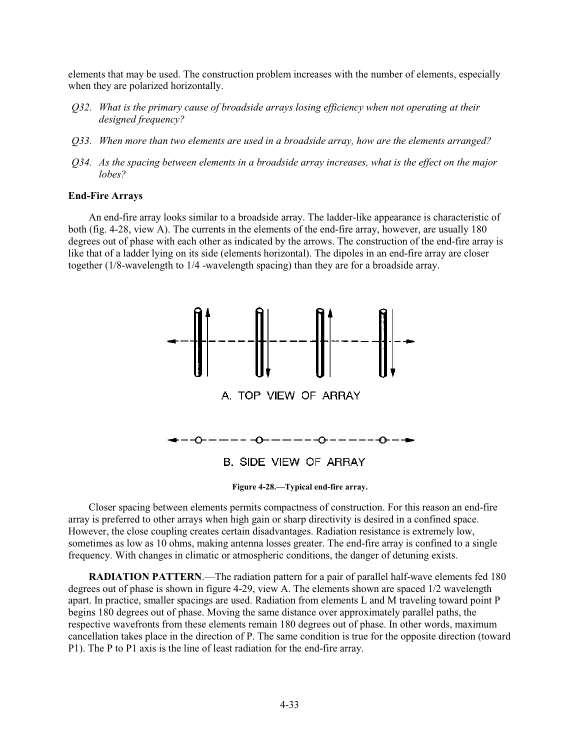elements that may be used. The construction problem increases with the number of elements, especially when they are polarized horizontally.

- *Q32. What is the primary cause of broadside arrays losing efficiency when not operating at their designed frequency?*
- *Q33. When more than two elements are used in a broadside array, how are the elements arranged?*
- *Q34. As the spacing between elements in a broadside array increases, what is the effect on the major lobes?*

#### **End-Fire Arrays**

An end-fire array looks similar to a broadside array. The ladder-like appearance is characteristic of both (fig. 4-28, view A). The currents in the elements of the end-fire array, however, are usually 180 degrees out of phase with each other as indicated by the arrows. The construction of the end-fire array is like that of a ladder lying on its side (elements horizontal). The dipoles in an end-fire array are closer together (1/8-wavelength to 1/4 -wavelength spacing) than they are for a broadside array.



**Figure 4-28.—Typical end-fire array.** 

Closer spacing between elements permits compactness of construction. For this reason an end-fire array is preferred to other arrays when high gain or sharp directivity is desired in a confined space. However, the close coupling creates certain disadvantages. Radiation resistance is extremely low, sometimes as low as 10 ohms, making antenna losses greater. The end-fire array is confined to a single frequency. With changes in climatic or atmospheric conditions, the danger of detuning exists.

**RADIATION PATTERN**.—The radiation pattern for a pair of parallel half-wave elements fed 180 degrees out of phase is shown in figure 4-29, view A. The elements shown are spaced 1/2 wavelength apart. In practice, smaller spacings are used. Radiation from elements L and M traveling toward point P begins 180 degrees out of phase. Moving the same distance over approximately parallel paths, the respective wavefronts from these elements remain 180 degrees out of phase. In other words, maximum cancellation takes place in the direction of P. The same condition is true for the opposite direction (toward P1). The P to P1 axis is the line of least radiation for the end-fire array.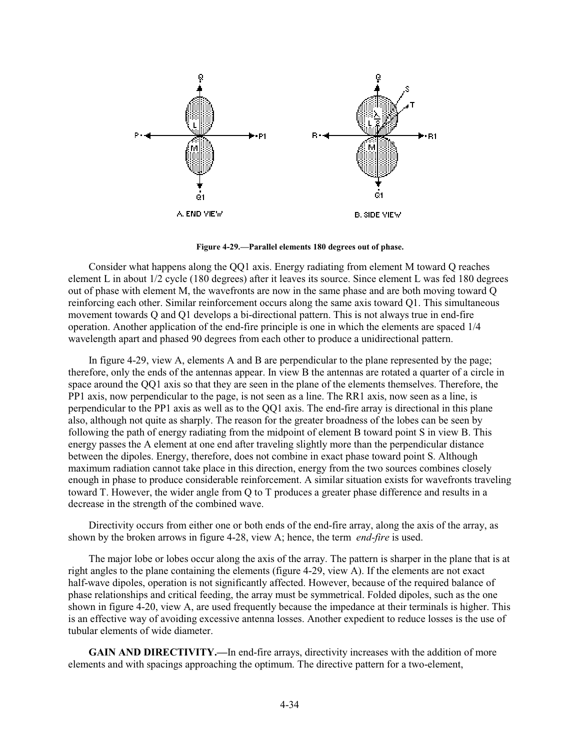

**Figure 4-29.—Parallel elements 180 degrees out of phase.** 

Consider what happens along the QQ1 axis. Energy radiating from element M toward Q reaches element L in about 1/2 cycle (180 degrees) after it leaves its source. Since element L was fed 180 degrees out of phase with element M, the wavefronts are now in the same phase and are both moving toward Q reinforcing each other. Similar reinforcement occurs along the same axis toward Q1. This simultaneous movement towards Q and Q1 develops a bi-directional pattern. This is not always true in end-fire operation. Another application of the end-fire principle is one in which the elements are spaced 1/4 wavelength apart and phased 90 degrees from each other to produce a unidirectional pattern.

In figure 4-29, view A, elements A and B are perpendicular to the plane represented by the page; therefore, only the ends of the antennas appear. In view B the antennas are rotated a quarter of a circle in space around the QQ1 axis so that they are seen in the plane of the elements themselves. Therefore, the PP1 axis, now perpendicular to the page, is not seen as a line. The RR1 axis, now seen as a line, is perpendicular to the PP1 axis as well as to the QQ1 axis. The end-fire array is directional in this plane also, although not quite as sharply. The reason for the greater broadness of the lobes can be seen by following the path of energy radiating from the midpoint of element B toward point S in view B. This energy passes the A element at one end after traveling slightly more than the perpendicular distance between the dipoles. Energy, therefore, does not combine in exact phase toward point S. Although maximum radiation cannot take place in this direction, energy from the two sources combines closely enough in phase to produce considerable reinforcement. A similar situation exists for wavefronts traveling toward T. However, the wider angle from Q to T produces a greater phase difference and results in a decrease in the strength of the combined wave.

Directivity occurs from either one or both ends of the end-fire array, along the axis of the array, as shown by the broken arrows in figure 4-28, view A; hence, the term *end-fire* is used.

The major lobe or lobes occur along the axis of the array. The pattern is sharper in the plane that is at right angles to the plane containing the elements (figure 4-29, view A). If the elements are not exact half-wave dipoles, operation is not significantly affected. However, because of the required balance of phase relationships and critical feeding, the array must be symmetrical. Folded dipoles, such as the one shown in figure 4-20, view A, are used frequently because the impedance at their terminals is higher. This is an effective way of avoiding excessive antenna losses. Another expedient to reduce losses is the use of tubular elements of wide diameter.

**GAIN AND DIRECTIVITY.—**In end-fire arrays, directivity increases with the addition of more elements and with spacings approaching the optimum. The directive pattern for a two-element,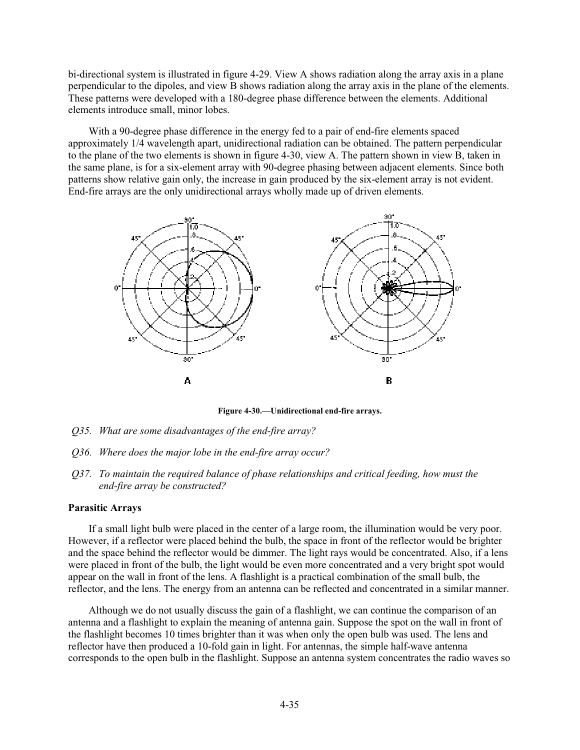bi-directional system is illustrated in figure 4-29. View A shows radiation along the array axis in a plane perpendicular to the dipoles, and view B shows radiation along the array axis in the plane of the elements. These patterns were developed with a 180-degree phase difference between the elements. Additional elements introduce small, minor lobes.

With a 90-degree phase difference in the energy fed to a pair of end-fire elements spaced approximately 1/4 wavelength apart, unidirectional radiation can be obtained. The pattern perpendicular to the plane of the two elements is shown in figure 4-30, view A. The pattern shown in view B, taken in the same plane, is for a six-element array with 90-degree phasing between adjacent elements. Since both patterns show relative gain only, the increase in gain produced by the six-element array is not evident. End-fire arrays are the only unidirectional arrays wholly made up of driven elements.



**Figure 4-30.—Unidirectional end-fire arrays.** 

- *Q35. What are some disadvantages of the end-fire array?*
- *Q36. Where does the major lobe in the end-fire array occur?*
- *Q37. To maintain the required balance of phase relationships and critical feeding, how must the end-fire array be constructed?*

## **Parasitic Arrays**

If a small light bulb were placed in the center of a large room, the illumination would be very poor. However, if a reflector were placed behind the bulb, the space in front of the reflector would be brighter and the space behind the reflector would be dimmer. The light rays would be concentrated. Also, if a lens were placed in front of the bulb, the light would be even more concentrated and a very bright spot would appear on the wall in front of the lens. A flashlight is a practical combination of the small bulb, the reflector, and the lens. The energy from an antenna can be reflected and concentrated in a similar manner.

Although we do not usually discuss the gain of a flashlight, we can continue the comparison of an antenna and a flashlight to explain the meaning of antenna gain. Suppose the spot on the wall in front of the flashlight becomes 10 times brighter than it was when only the open bulb was used. The lens and reflector have then produced a 10-fold gain in light. For antennas, the simple half-wave antenna corresponds to the open bulb in the flashlight. Suppose an antenna system concentrates the radio waves so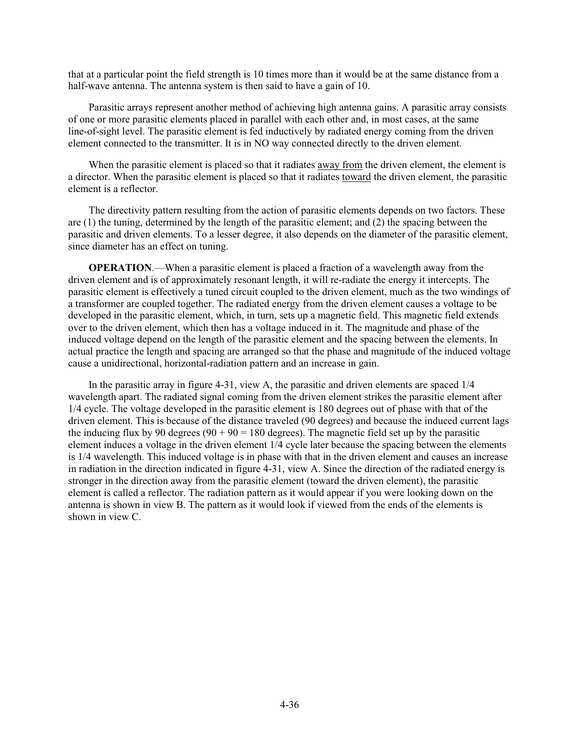that at a particular point the field strength is 10 times more than it would be at the same distance from a half-wave antenna. The antenna system is then said to have a gain of 10.

Parasitic arrays represent another method of achieving high antenna gains. A parasitic array consists of one or more parasitic elements placed in parallel with each other and, in most cases, at the same line-of-sight level. The parasitic element is fed inductively by radiated energy coming from the driven element connected to the transmitter. It is in NO way connected directly to the driven element.

When the parasitic element is placed so that it radiates away from the driven element, the element is a director. When the parasitic element is placed so that it radiates toward the driven element, the parasitic element is a reflector.

The directivity pattern resulting from the action of parasitic elements depends on two factors. These are (1) the tuning, determined by the length of the parasitic element; and (2) the spacing between the parasitic and driven elements. To a lesser degree, it also depends on the diameter of the parasitic element, since diameter has an effect on tuning.

**OPERATION**.—When a parasitic element is placed a fraction of a wavelength away from the driven element and is of approximately resonant length, it will re-radiate the energy it intercepts. The parasitic element is effectively a tuned circuit coupled to the driven element, much as the two windings of a transformer are coupled together. The radiated energy from the driven element causes a voltage to be developed in the parasitic element, which, in turn, sets up a magnetic field. This magnetic field extends over to the driven element, which then has a voltage induced in it. The magnitude and phase of the induced voltage depend on the length of the parasitic element and the spacing between the elements. In actual practice the length and spacing are arranged so that the phase and magnitude of the induced voltage cause a unidirectional, horizontal-radiation pattern and an increase in gain.

In the parasitic array in figure 4-31, view A, the parasitic and driven elements are spaced 1/4 wavelength apart. The radiated signal coming from the driven element strikes the parasitic element after 1/4 cycle. The voltage developed in the parasitic element is 180 degrees out of phase with that of the driven element. This is because of the distance traveled (90 degrees) and because the induced current lags the inducing flux by 90 degrees  $(90 + 90 = 180$  degrees). The magnetic field set up by the parasitic element induces a voltage in the driven element 1/4 cycle later because the spacing between the elements is 1/4 wavelength. This induced voltage is in phase with that in the driven element and causes an increase in radiation in the direction indicated in figure 4-31, view A. Since the direction of the radiated energy is stronger in the direction away from the parasitic element (toward the driven element), the parasitic element is called a reflector. The radiation pattern as it would appear if you were looking down on the antenna is shown in view B. The pattern as it would look if viewed from the ends of the elements is shown in view C.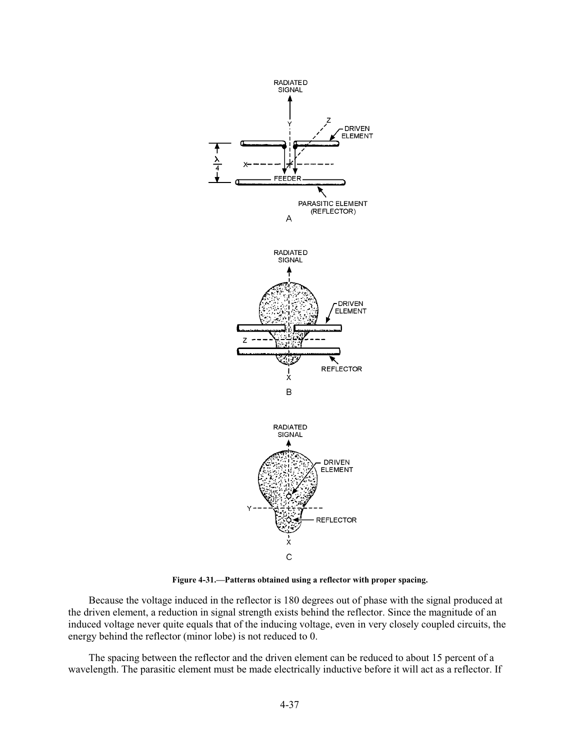

**Figure 4-31.—Patterns obtained using a reflector with proper spacing.** 

Because the voltage induced in the reflector is 180 degrees out of phase with the signal produced at the driven element, a reduction in signal strength exists behind the reflector. Since the magnitude of an induced voltage never quite equals that of the inducing voltage, even in very closely coupled circuits, the energy behind the reflector (minor lobe) is not reduced to 0.

The spacing between the reflector and the driven element can be reduced to about 15 percent of a wavelength. The parasitic element must be made electrically inductive before it will act as a reflector. If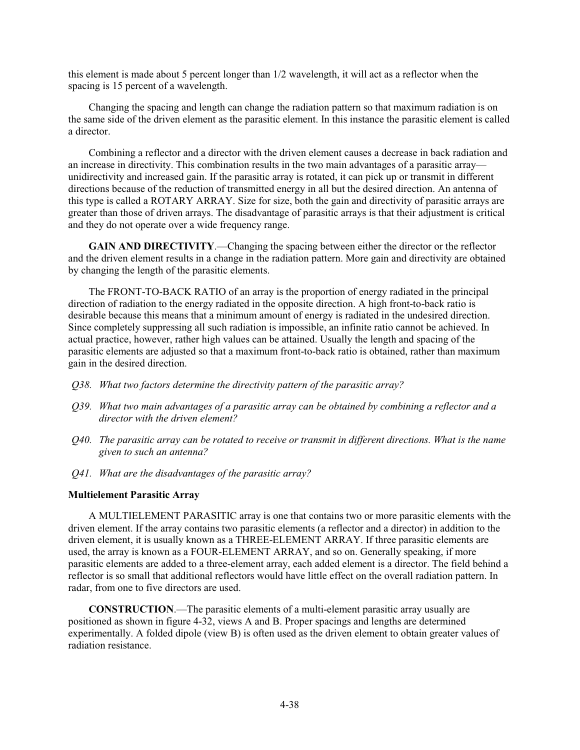this element is made about 5 percent longer than 1/2 wavelength, it will act as a reflector when the spacing is 15 percent of a wavelength.

Changing the spacing and length can change the radiation pattern so that maximum radiation is on the same side of the driven element as the parasitic element. In this instance the parasitic element is called a director.

Combining a reflector and a director with the driven element causes a decrease in back radiation and an increase in directivity. This combination results in the two main advantages of a parasitic array unidirectivity and increased gain. If the parasitic array is rotated, it can pick up or transmit in different directions because of the reduction of transmitted energy in all but the desired direction. An antenna of this type is called a ROTARY ARRAY. Size for size, both the gain and directivity of parasitic arrays are greater than those of driven arrays. The disadvantage of parasitic arrays is that their adjustment is critical and they do not operate over a wide frequency range.

**GAIN AND DIRECTIVITY**.—Changing the spacing between either the director or the reflector and the driven element results in a change in the radiation pattern. More gain and directivity are obtained by changing the length of the parasitic elements.

The FRONT-TO-BACK RATIO of an array is the proportion of energy radiated in the principal direction of radiation to the energy radiated in the opposite direction. A high front-to-back ratio is desirable because this means that a minimum amount of energy is radiated in the undesired direction. Since completely suppressing all such radiation is impossible, an infinite ratio cannot be achieved. In actual practice, however, rather high values can be attained. Usually the length and spacing of the parasitic elements are adjusted so that a maximum front-to-back ratio is obtained, rather than maximum gain in the desired direction.

- *Q38. What two factors determine the directivity pattern of the parasitic array?*
- *Q39. What two main advantages of a parasitic array can be obtained by combining a reflector and a director with the driven element?*
- *Q40. The parasitic array can be rotated to receive or transmit in different directions. What is the name given to such an antenna?*
- *Q41. What are the disadvantages of the parasitic array?*

## **Multielement Parasitic Array**

A MULTIELEMENT PARASITIC array is one that contains two or more parasitic elements with the driven element. If the array contains two parasitic elements (a reflector and a director) in addition to the driven element, it is usually known as a THREE-ELEMENT ARRAY. If three parasitic elements are used, the array is known as a FOUR-ELEMENT ARRAY, and so on. Generally speaking, if more parasitic elements are added to a three-element array, each added element is a director. The field behind a reflector is so small that additional reflectors would have little effect on the overall radiation pattern. In radar, from one to five directors are used.

**CONSTRUCTION**.—The parasitic elements of a multi-element parasitic array usually are positioned as shown in figure 4-32, views A and B. Proper spacings and lengths are determined experimentally. A folded dipole (view B) is often used as the driven element to obtain greater values of radiation resistance.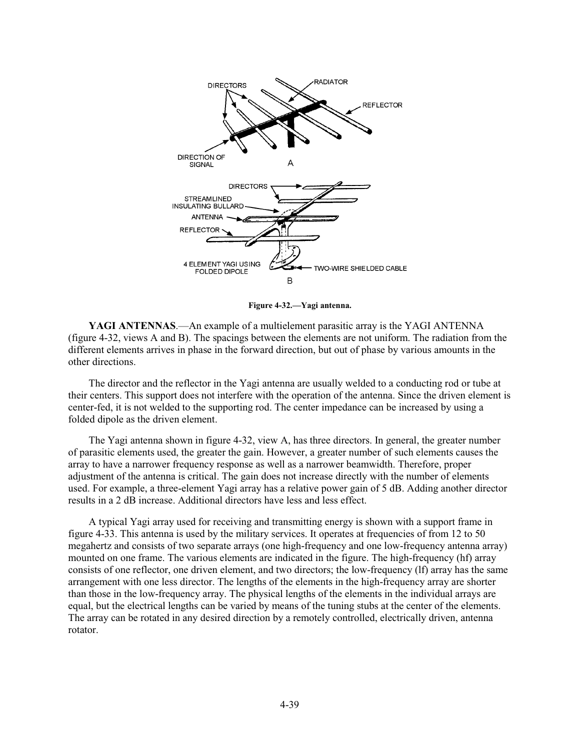

**Figure 4-32.—Yagi antenna.** 

**YAGI ANTENNAS**.—An example of a multielement parasitic array is the YAGI ANTENNA (figure 4-32, views A and B). The spacings between the elements are not uniform. The radiation from the different elements arrives in phase in the forward direction, but out of phase by various amounts in the other directions.

The director and the reflector in the Yagi antenna are usually welded to a conducting rod or tube at their centers. This support does not interfere with the operation of the antenna. Since the driven element is center-fed, it is not welded to the supporting rod. The center impedance can be increased by using a folded dipole as the driven element.

The Yagi antenna shown in figure 4-32, view A, has three directors. In general, the greater number of parasitic elements used, the greater the gain. However, a greater number of such elements causes the array to have a narrower frequency response as well as a narrower beamwidth. Therefore, proper adjustment of the antenna is critical. The gain does not increase directly with the number of elements used. For example, a three-element Yagi array has a relative power gain of 5 dB. Adding another director results in a 2 dB increase. Additional directors have less and less effect.

A typical Yagi array used for receiving and transmitting energy is shown with a support frame in figure 4-33. This antenna is used by the military services. It operates at frequencies of from 12 to 50 megahertz and consists of two separate arrays (one high-frequency and one low-frequency antenna array) mounted on one frame. The various elements are indicated in the figure. The high-frequency (hf) array consists of one reflector, one driven element, and two directors; the low-frequency (lf) array has the same arrangement with one less director. The lengths of the elements in the high-frequency array are shorter than those in the low-frequency array. The physical lengths of the elements in the individual arrays are equal, but the electrical lengths can be varied by means of the tuning stubs at the center of the elements. The array can be rotated in any desired direction by a remotely controlled, electrically driven, antenna rotator.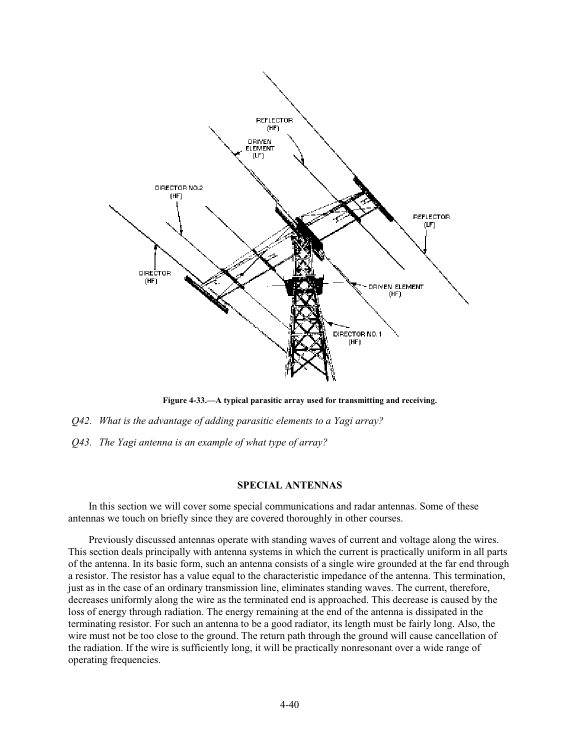

**Figure 4-33.—A typical parasitic array used for transmitting and receiving.** 

- *Q42. What is the advantage of adding parasitic elements to a Yagi array?*
- *Q43. The Yagi antenna is an example of what type of array?*

## **SPECIAL ANTENNAS**

In this section we will cover some special communications and radar antennas. Some of these antennas we touch on briefly since they are covered thoroughly in other courses.

Previously discussed antennas operate with standing waves of current and voltage along the wires. This section deals principally with antenna systems in which the current is practically uniform in all parts of the antenna. In its basic form, such an antenna consists of a single wire grounded at the far end through a resistor. The resistor has a value equal to the characteristic impedance of the antenna. This termination, just as in the case of an ordinary transmission line, eliminates standing waves. The current, therefore, decreases uniformly along the wire as the terminated end is approached. This decrease is caused by the loss of energy through radiation. The energy remaining at the end of the antenna is dissipated in the terminating resistor. For such an antenna to be a good radiator, its length must be fairly long. Also, the wire must not be too close to the ground. The return path through the ground will cause cancellation of the radiation. If the wire is sufficiently long, it will be practically nonresonant over a wide range of operating frequencies.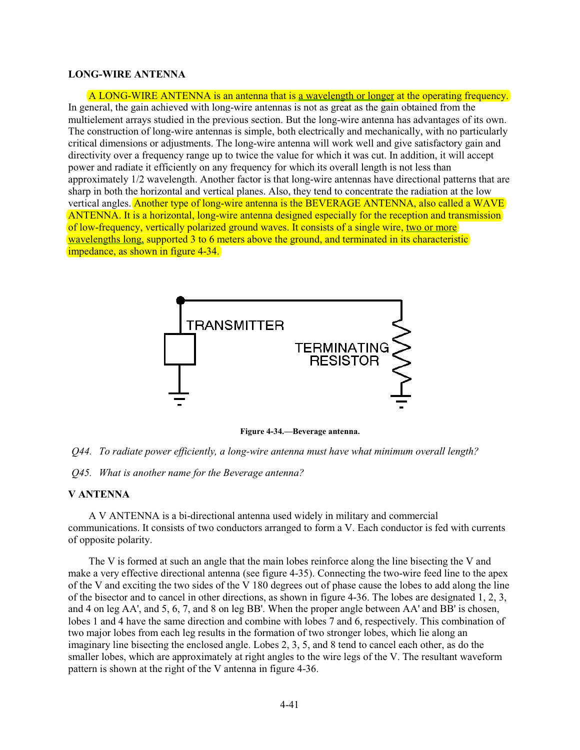## **LONG-WIRE ANTENNA**

A LONG-WIRE ANTENNA is an antenna that is a wavelength or longer at the operating frequency. In general, the gain achieved with long-wire antennas is not as great as the gain obtained from the multielement arrays studied in the previous section. But the long-wire antenna has advantages of its own. The construction of long-wire antennas is simple, both electrically and mechanically, with no particularly critical dimensions or adjustments. The long-wire antenna will work well and give satisfactory gain and directivity over a frequency range up to twice the value for which it was cut. In addition, it will accept power and radiate it efficiently on any frequency for which its overall length is not less than approximately 1/2 wavelength. Another factor is that long-wire antennas have directional patterns that are sharp in both the horizontal and vertical planes. Also, they tend to concentrate the radiation at the low vertical angles. Another type of long-wire antenna is the BEVERAGE ANTENNA, also called a WAVE ANTENNA. It is a horizontal, long-wire antenna designed especially for the reception and transmission of low-frequency, vertically polarized ground waves. It consists of a single wire, two or more wavelengths long, supported 3 to 6 meters above the ground, and terminated in its characteristic impedance, as shown in figure 4-34.



**Figure 4-34.—Beverage antenna.** 



*Q45. What is another name for the Beverage antenna?* 

## **V ANTENNA**

A V ANTENNA is a bi-directional antenna used widely in military and commercial communications. It consists of two conductors arranged to form a V. Each conductor is fed with currents of opposite polarity.

The V is formed at such an angle that the main lobes reinforce along the line bisecting the V and make a very effective directional antenna (see figure 4-35). Connecting the two-wire feed line to the apex of the V and exciting the two sides of the V 180 degrees out of phase cause the lobes to add along the line of the bisector and to cancel in other directions, as shown in figure 4-36. The lobes are designated 1, 2, 3, and 4 on leg AA', and 5, 6, 7, and 8 on leg BB'. When the proper angle between AA' and BB' is chosen, lobes 1 and 4 have the same direction and combine with lobes 7 and 6, respectively. This combination of two major lobes from each leg results in the formation of two stronger lobes, which lie along an imaginary line bisecting the enclosed angle. Lobes 2, 3, 5, and 8 tend to cancel each other, as do the smaller lobes, which are approximately at right angles to the wire legs of the V. The resultant waveform pattern is shown at the right of the V antenna in figure 4-36.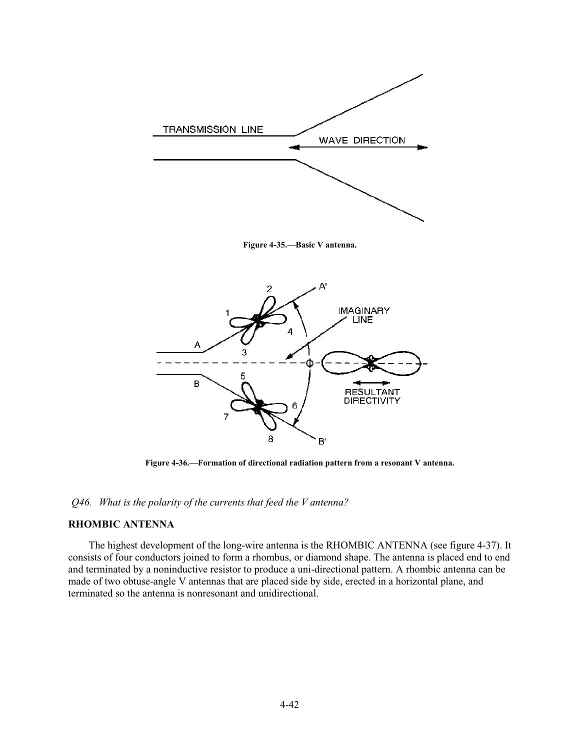

**Figure 4-35.—Basic V antenna.** 



**Figure 4-36.—Formation of directional radiation pattern from a resonant V antenna.** 

*Q46. What is the polarity of the currents that feed the V antenna?* 

# **RHOMBIC ANTENNA**

The highest development of the long-wire antenna is the RHOMBIC ANTENNA (see figure 4-37). It consists of four conductors joined to form a rhombus, or diamond shape. The antenna is placed end to end and terminated by a noninductive resistor to produce a uni-directional pattern. A rhombic antenna can be made of two obtuse-angle V antennas that are placed side by side, erected in a horizontal plane, and terminated so the antenna is nonresonant and unidirectional.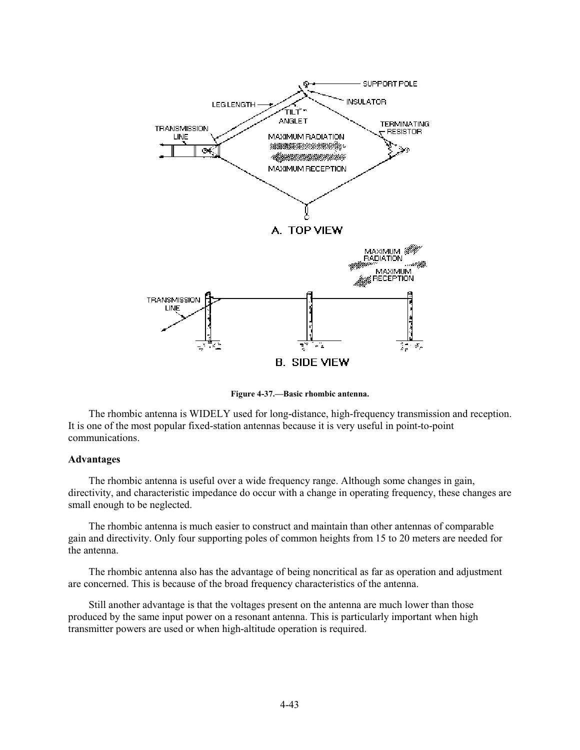

**Figure 4-37.—Basic rhombic antenna.** 

The rhombic antenna is WIDELY used for long-distance, high-frequency transmission and reception. It is one of the most popular fixed-station antennas because it is very useful in point-to-point communications.

#### **Advantages**

The rhombic antenna is useful over a wide frequency range. Although some changes in gain, directivity, and characteristic impedance do occur with a change in operating frequency, these changes are small enough to be neglected.

The rhombic antenna is much easier to construct and maintain than other antennas of comparable gain and directivity. Only four supporting poles of common heights from 15 to 20 meters are needed for the antenna.

The rhombic antenna also has the advantage of being noncritical as far as operation and adjustment are concerned. This is because of the broad frequency characteristics of the antenna.

Still another advantage is that the voltages present on the antenna are much lower than those produced by the same input power on a resonant antenna. This is particularly important when high transmitter powers are used or when high-altitude operation is required.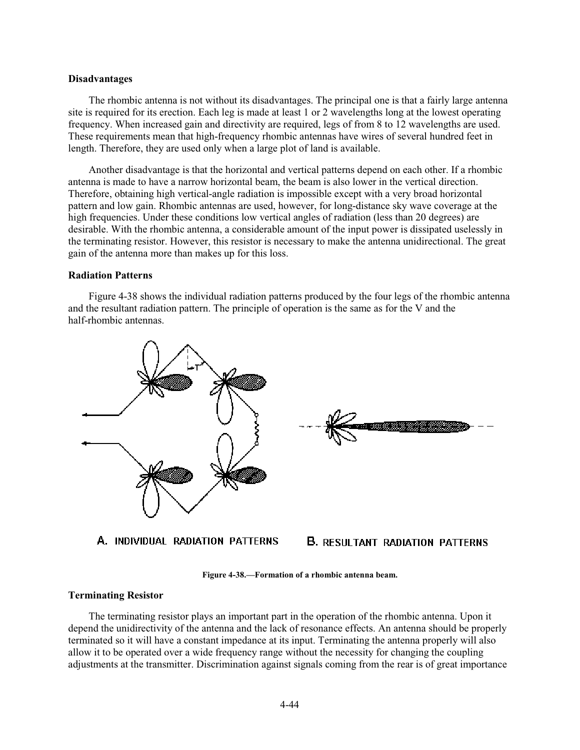#### **Disadvantages**

The rhombic antenna is not without its disadvantages. The principal one is that a fairly large antenna site is required for its erection. Each leg is made at least 1 or 2 wavelengths long at the lowest operating frequency. When increased gain and directivity are required, legs of from 8 to 12 wavelengths are used. These requirements mean that high-frequency rhombic antennas have wires of several hundred feet in length. Therefore, they are used only when a large plot of land is available.

Another disadvantage is that the horizontal and vertical patterns depend on each other. If a rhombic antenna is made to have a narrow horizontal beam, the beam is also lower in the vertical direction. Therefore, obtaining high vertical-angle radiation is impossible except with a very broad horizontal pattern and low gain. Rhombic antennas are used, however, for long-distance sky wave coverage at the high frequencies. Under these conditions low vertical angles of radiation (less than 20 degrees) are desirable. With the rhombic antenna, a considerable amount of the input power is dissipated uselessly in the terminating resistor. However, this resistor is necessary to make the antenna unidirectional. The great gain of the antenna more than makes up for this loss.

#### **Radiation Patterns**

Figure 4-38 shows the individual radiation patterns produced by the four legs of the rhombic antenna and the resultant radiation pattern. The principle of operation is the same as for the V and the half-rhombic antennas.



A. INDIVIDUAL RADIATION PATTERNS

# **B. RESULTANT RADIATION PATTERNS**

#### **Figure 4-38.—Formation of a rhombic antenna beam.**

## **Terminating Resistor**

The terminating resistor plays an important part in the operation of the rhombic antenna. Upon it depend the unidirectivity of the antenna and the lack of resonance effects. An antenna should be properly terminated so it will have a constant impedance at its input. Terminating the antenna properly will also allow it to be operated over a wide frequency range without the necessity for changing the coupling adjustments at the transmitter. Discrimination against signals coming from the rear is of great importance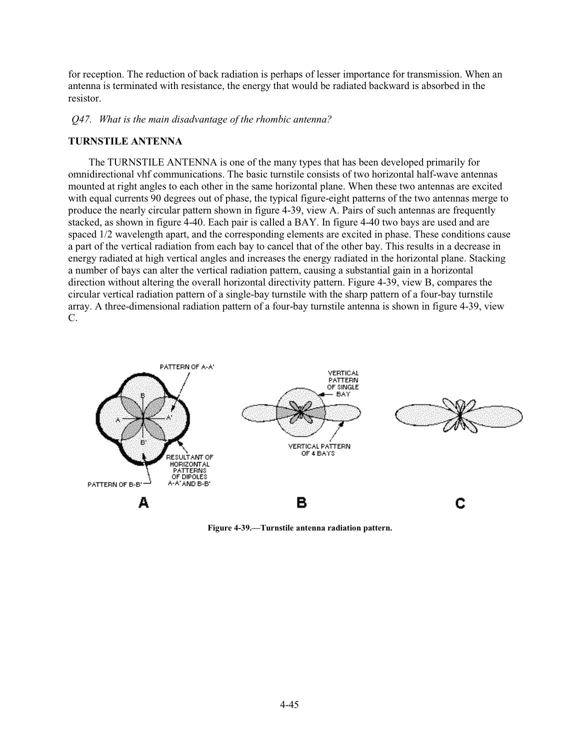for reception. The reduction of back radiation is perhaps of lesser importance for transmission. When an antenna is terminated with resistance, the energy that would be radiated backward is absorbed in the resistor.

*Q47. What is the main disadvantage of the rhombic antenna?* 

# **TURNSTILE ANTENNA**

The TURNSTILE ANTENNA is one of the many types that has been developed primarily for omnidirectional vhf communications. The basic turnstile consists of two horizontal half-wave antennas mounted at right angles to each other in the same horizontal plane. When these two antennas are excited with equal currents 90 degrees out of phase, the typical figure-eight patterns of the two antennas merge to produce the nearly circular pattern shown in figure 4-39, view A. Pairs of such antennas are frequently stacked, as shown in figure 4-40. Each pair is called a BAY. In figure 4-40 two bays are used and are spaced 1/2 wavelength apart, and the corresponding elements are excited in phase. These conditions cause a part of the vertical radiation from each bay to cancel that of the other bay. This results in a decrease in energy radiated at high vertical angles and increases the energy radiated in the horizontal plane. Stacking a number of bays can alter the vertical radiation pattern, causing a substantial gain in a horizontal direction without altering the overall horizontal directivity pattern. Figure 4-39, view B, compares the circular vertical radiation pattern of a single-bay turnstile with the sharp pattern of a four-bay turnstile array. A three-dimensional radiation pattern of a four-bay turnstile antenna is shown in figure 4-39, view C.



**Figure 4-39.—Turnstile antenna radiation pattern.**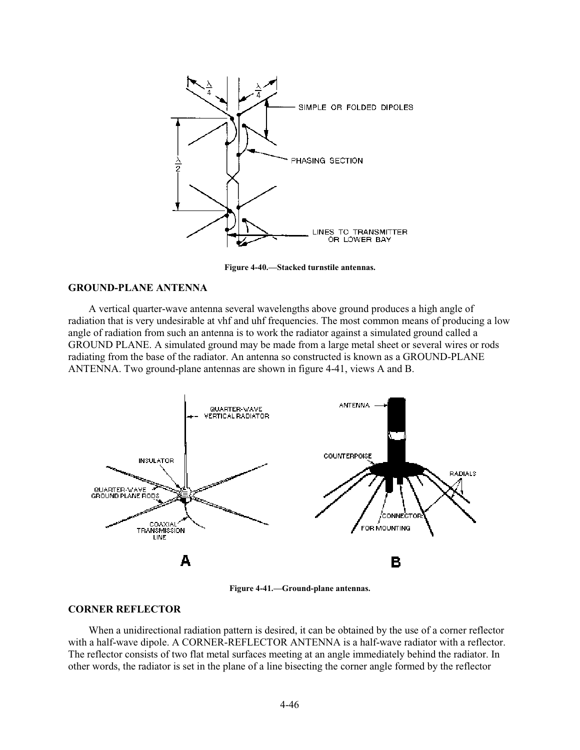

**Figure 4-40.—Stacked turnstile antennas.** 

#### **GROUND-PLANE ANTENNA**

A vertical quarter-wave antenna several wavelengths above ground produces a high angle of radiation that is very undesirable at vhf and uhf frequencies. The most common means of producing a low angle of radiation from such an antenna is to work the radiator against a simulated ground called a GROUND PLANE. A simulated ground may be made from a large metal sheet or several wires or rods radiating from the base of the radiator. An antenna so constructed is known as a GROUND-PLANE ANTENNA. Two ground-plane antennas are shown in figure 4-41, views A and B.



**Figure 4-41.—Ground-plane antennas.** 

# **CORNER REFLECTOR**

When a unidirectional radiation pattern is desired, it can be obtained by the use of a corner reflector with a half-wave dipole. A CORNER-REFLECTOR ANTENNA is a half-wave radiator with a reflector. The reflector consists of two flat metal surfaces meeting at an angle immediately behind the radiator. In other words, the radiator is set in the plane of a line bisecting the corner angle formed by the reflector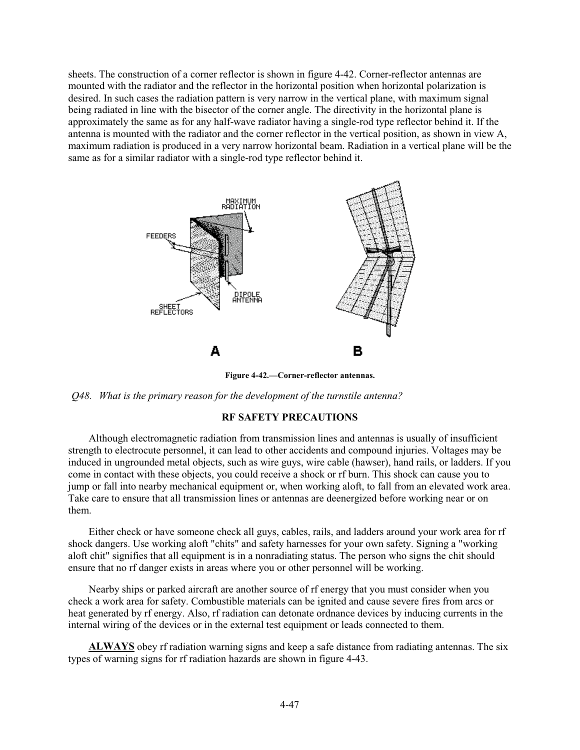sheets. The construction of a corner reflector is shown in figure 4-42. Corner-reflector antennas are mounted with the radiator and the reflector in the horizontal position when horizontal polarization is desired. In such cases the radiation pattern is very narrow in the vertical plane, with maximum signal being radiated in line with the bisector of the corner angle. The directivity in the horizontal plane is approximately the same as for any half-wave radiator having a single-rod type reflector behind it. If the antenna is mounted with the radiator and the corner reflector in the vertical position, as shown in view A, maximum radiation is produced in a very narrow horizontal beam. Radiation in a vertical plane will be the same as for a similar radiator with a single-rod type reflector behind it.



**Figure 4-42.—Corner-reflector antennas.** 

*Q48. What is the primary reason for the development of the turnstile antenna?* 

# **RF SAFETY PRECAUTIONS**

Although electromagnetic radiation from transmission lines and antennas is usually of insufficient strength to electrocute personnel, it can lead to other accidents and compound injuries. Voltages may be induced in ungrounded metal objects, such as wire guys, wire cable (hawser), hand rails, or ladders. If you come in contact with these objects, you could receive a shock or rf burn. This shock can cause you to jump or fall into nearby mechanical equipment or, when working aloft, to fall from an elevated work area. Take care to ensure that all transmission lines or antennas are deenergized before working near or on them.

Either check or have someone check all guys, cables, rails, and ladders around your work area for rf shock dangers. Use working aloft "chits" and safety harnesses for your own safety. Signing a "working aloft chit" signifies that all equipment is in a nonradiating status. The person who signs the chit should ensure that no rf danger exists in areas where you or other personnel will be working.

Nearby ships or parked aircraft are another source of rf energy that you must consider when you check a work area for safety. Combustible materials can be ignited and cause severe fires from arcs or heat generated by rf energy. Also, rf radiation can detonate ordnance devices by inducing currents in the internal wiring of the devices or in the external test equipment or leads connected to them.

**ALWAYS** obey rf radiation warning signs and keep a safe distance from radiating antennas. The six types of warning signs for rf radiation hazards are shown in figure 4-43.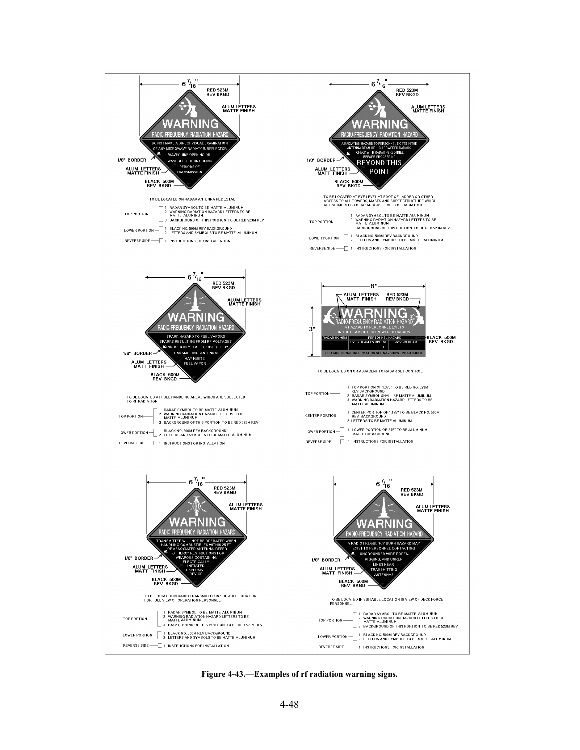

**Figure 4-43.—Examples of rf radiation warning signs.**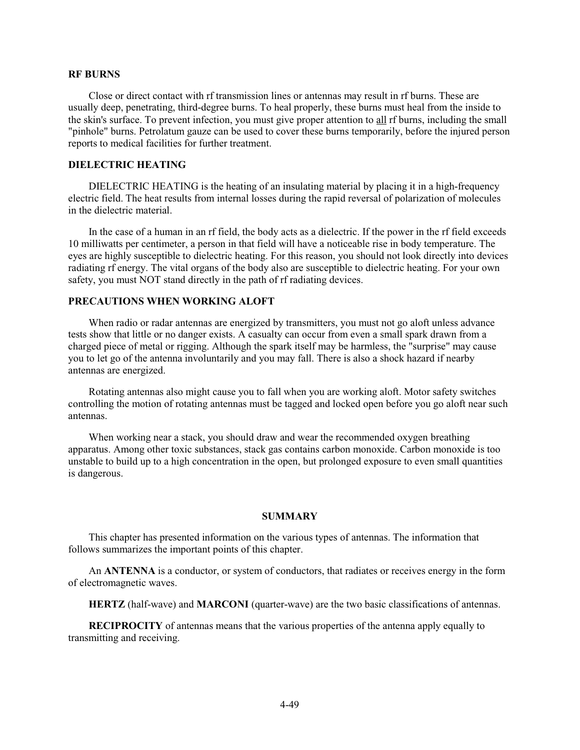## **RF BURNS**

Close or direct contact with rf transmission lines or antennas may result in rf burns. These are usually deep, penetrating, third-degree burns. To heal properly, these burns must heal from the inside to the skin's surface. To prevent infection, you must give proper attention to all rf burns, including the small "pinhole" burns. Petrolatum gauze can be used to cover these burns temporarily, before the injured person reports to medical facilities for further treatment.

#### **DIELECTRIC HEATING**

DIELECTRIC HEATING is the heating of an insulating material by placing it in a high-frequency electric field. The heat results from internal losses during the rapid reversal of polarization of molecules in the dielectric material.

In the case of a human in an rf field, the body acts as a dielectric. If the power in the rf field exceeds 10 milliwatts per centimeter, a person in that field will have a noticeable rise in body temperature. The eyes are highly susceptible to dielectric heating. For this reason, you should not look directly into devices radiating rf energy. The vital organs of the body also are susceptible to dielectric heating. For your own safety, you must NOT stand directly in the path of rf radiating devices.

## **PRECAUTIONS WHEN WORKING ALOFT**

When radio or radar antennas are energized by transmitters, you must not go aloft unless advance tests show that little or no danger exists. A casualty can occur from even a small spark drawn from a charged piece of metal or rigging. Although the spark itself may be harmless, the "surprise" may cause you to let go of the antenna involuntarily and you may fall. There is also a shock hazard if nearby antennas are energized.

Rotating antennas also might cause you to fall when you are working aloft. Motor safety switches controlling the motion of rotating antennas must be tagged and locked open before you go aloft near such antennas.

When working near a stack, you should draw and wear the recommended oxygen breathing apparatus. Among other toxic substances, stack gas contains carbon monoxide. Carbon monoxide is too unstable to build up to a high concentration in the open, but prolonged exposure to even small quantities is dangerous.

## **SUMMARY**

This chapter has presented information on the various types of antennas. The information that follows summarizes the important points of this chapter.

An **ANTENNA** is a conductor, or system of conductors, that radiates or receives energy in the form of electromagnetic waves.

**HERTZ** (half-wave) and **MARCONI** (quarter-wave) are the two basic classifications of antennas.

**RECIPROCITY** of antennas means that the various properties of the antenna apply equally to transmitting and receiving.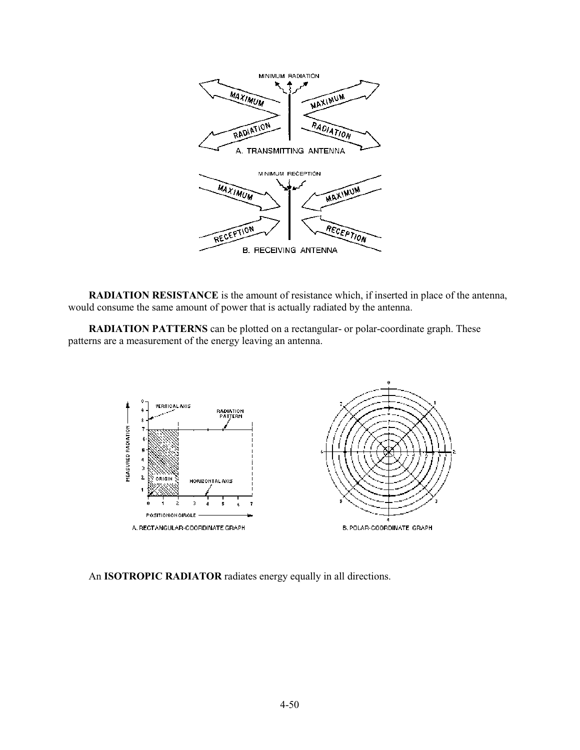

**RADIATION RESISTANCE** is the amount of resistance which, if inserted in place of the antenna, would consume the same amount of power that is actually radiated by the antenna.

**RADIATION PATTERNS** can be plotted on a rectangular- or polar-coordinate graph. These patterns are a measurement of the energy leaving an antenna.



An **ISOTROPIC RADIATOR** radiates energy equally in all directions.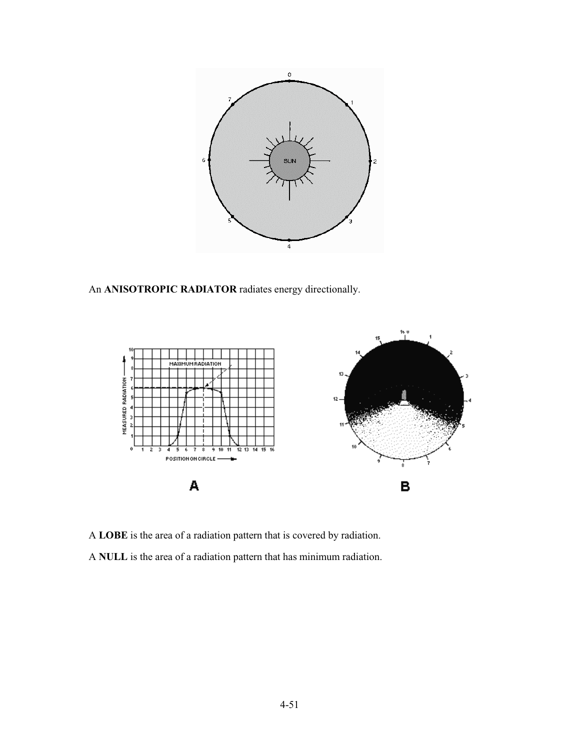

An **ANISOTROPIC RADIATOR** radiates energy directionally.



A **LOBE** is the area of a radiation pattern that is covered by radiation. A **NULL** is the area of a radiation pattern that has minimum radiation.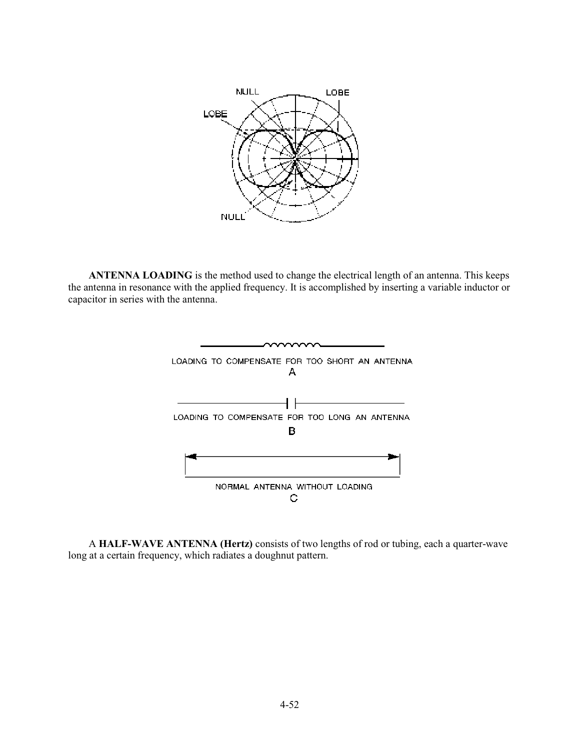

**ANTENNA LOADING** is the method used to change the electrical length of an antenna. This keeps the antenna in resonance with the applied frequency. It is accomplished by inserting a variable inductor or capacitor in series with the antenna.



A **HALF-WAVE ANTENNA (Hertz)** consists of two lengths of rod or tubing, each a quarter-wave long at a certain frequency, which radiates a doughnut pattern.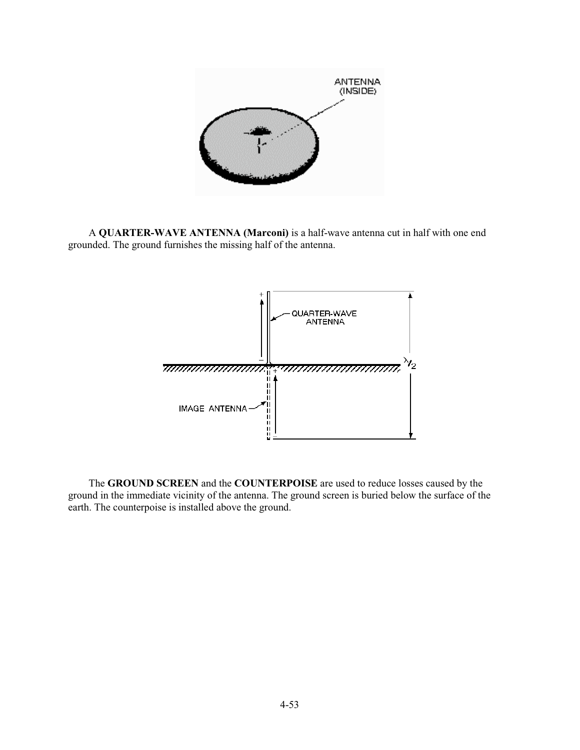

A **QUARTER-WAVE ANTENNA (Marconi)** is a half-wave antenna cut in half with one end grounded. The ground furnishes the missing half of the antenna.



The **GROUND SCREEN** and the **COUNTERPOISE** are used to reduce losses caused by the ground in the immediate vicinity of the antenna. The ground screen is buried below the surface of the earth. The counterpoise is installed above the ground.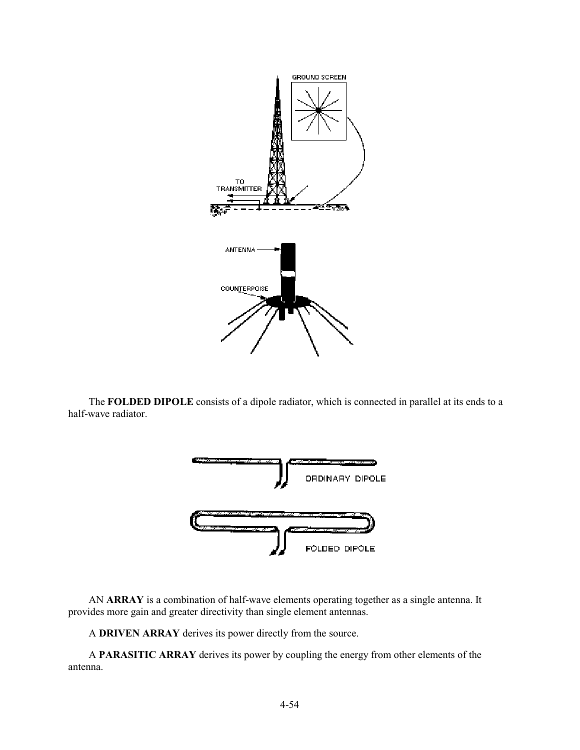

The **FOLDED DIPOLE** consists of a dipole radiator, which is connected in parallel at its ends to a half-wave radiator.



AN **ARRAY** is a combination of half-wave elements operating together as a single antenna. It provides more gain and greater directivity than single element antennas.

A **DRIVEN ARRAY** derives its power directly from the source.

A **PARASITIC ARRAY** derives its power by coupling the energy from other elements of the antenna.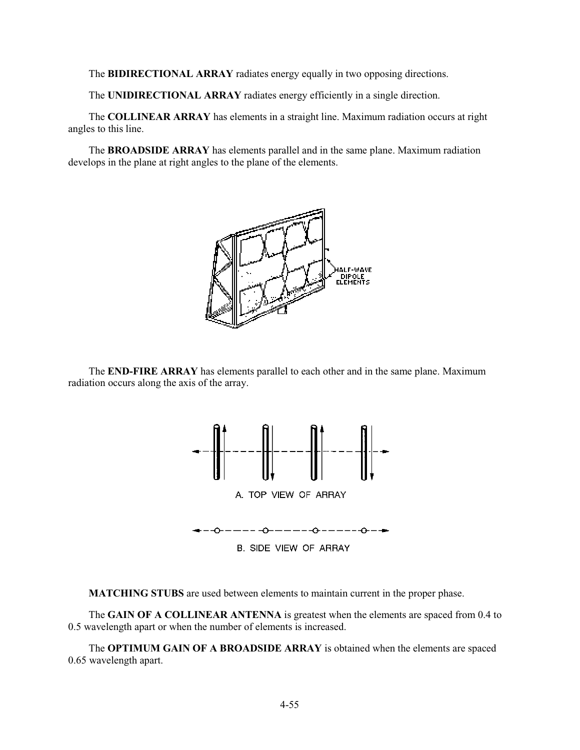The **BIDIRECTIONAL ARRAY** radiates energy equally in two opposing directions.

The **UNIDIRECTIONAL ARRAY** radiates energy efficiently in a single direction.

The **COLLINEAR ARRAY** has elements in a straight line. Maximum radiation occurs at right angles to this line.

The **BROADSIDE ARRAY** has elements parallel and in the same plane. Maximum radiation develops in the plane at right angles to the plane of the elements.



The **END-FIRE ARRAY** has elements parallel to each other and in the same plane. Maximum radiation occurs along the axis of the array.



**MATCHING STUBS** are used between elements to maintain current in the proper phase.

The **GAIN OF A COLLINEAR ANTENNA** is greatest when the elements are spaced from 0.4 to 0.5 wavelength apart or when the number of elements is increased.

The **OPTIMUM GAIN OF A BROADSIDE ARRAY** is obtained when the elements are spaced 0.65 wavelength apart.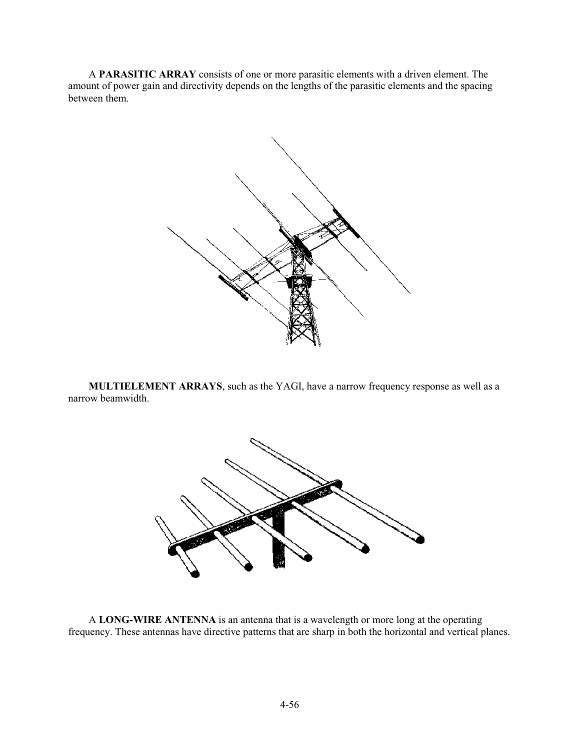A **PARASITIC ARRAY** consists of one or more parasitic elements with a driven element. The amount of power gain and directivity depends on the lengths of the parasitic elements and the spacing between them.



**MULTIELEMENT ARRAYS**, such as the YAGI, have a narrow frequency response as well as a narrow beamwidth.



A **LONG-WIRE ANTENNA** is an antenna that is a wavelength or more long at the operating frequency. These antennas have directive patterns that are sharp in both the horizontal and vertical planes.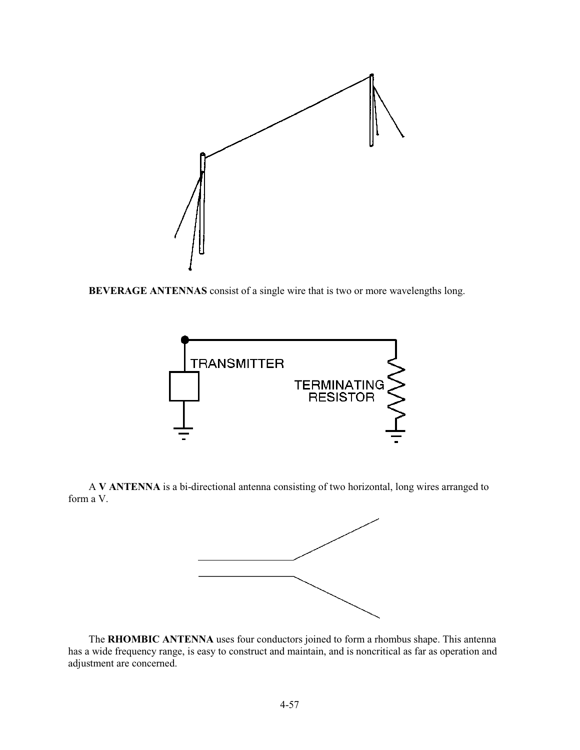

**BEVERAGE ANTENNAS** consist of a single wire that is two or more wavelengths long.



A **V ANTENNA** is a bi-directional antenna consisting of two horizontal, long wires arranged to form a V.



The **RHOMBIC ANTENNA** uses four conductors joined to form a rhombus shape. This antenna has a wide frequency range, is easy to construct and maintain, and is noncritical as far as operation and adjustment are concerned.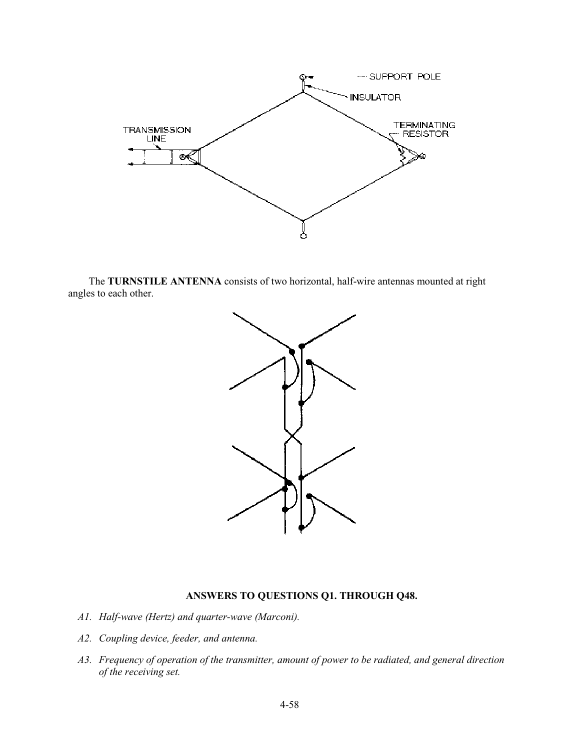

The **TURNSTILE ANTENNA** consists of two horizontal, half-wire antennas mounted at right angles to each other.



# **ANSWERS TO QUESTIONS Q1. THROUGH Q48.**

- *A1. Half-wave (Hertz) and quarter-wave (Marconi).*
- *A2. Coupling device, feeder, and antenna.*
- *A3. Frequency of operation of the transmitter, amount of power to be radiated, and general direction of the receiving set.*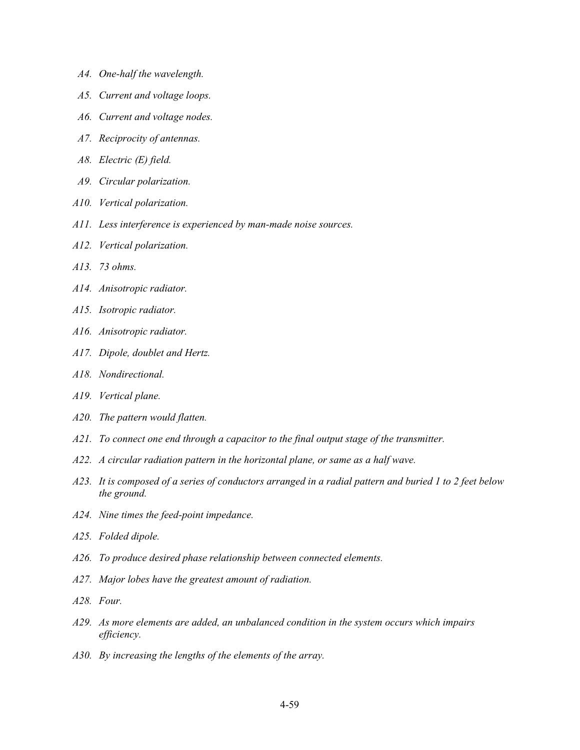- *A4. One-half the wavelength.*
- *A5. Current and voltage loops.*
- *A6. Current and voltage nodes.*
- *A7. Reciprocity of antennas.*
- *A8. Electric (E) field.*
- *A9. Circular polarization.*
- *A10. Vertical polarization.*
- *A11. Less interference is experienced by man-made noise sources.*
- *A12. Vertical polarization.*
- *A13. 73 ohms.*
- *A14. Anisotropic radiator.*
- *A15. Isotropic radiator.*
- *A16. Anisotropic radiator.*
- *A17. Dipole, doublet and Hertz.*
- *A18. Nondirectional.*
- *A19. Vertical plane.*
- *A20. The pattern would flatten.*
- *A21. To connect one end through a capacitor to the final output stage of the transmitter.*
- *A22. A circular radiation pattern in the horizontal plane, or same as a half wave.*
- *A23. It is composed of a series of conductors arranged in a radial pattern and buried 1 to 2 feet below the ground.*
- *A24. Nine times the feed-point impedance.*
- *A25. Folded dipole.*
- *A26. To produce desired phase relationship between connected elements.*
- *A27. Major lobes have the greatest amount of radiation.*
- *A28. Four.*
- *A29. As more elements are added, an unbalanced condition in the system occurs which impairs efficiency.*
- *A30. By increasing the lengths of the elements of the array.*